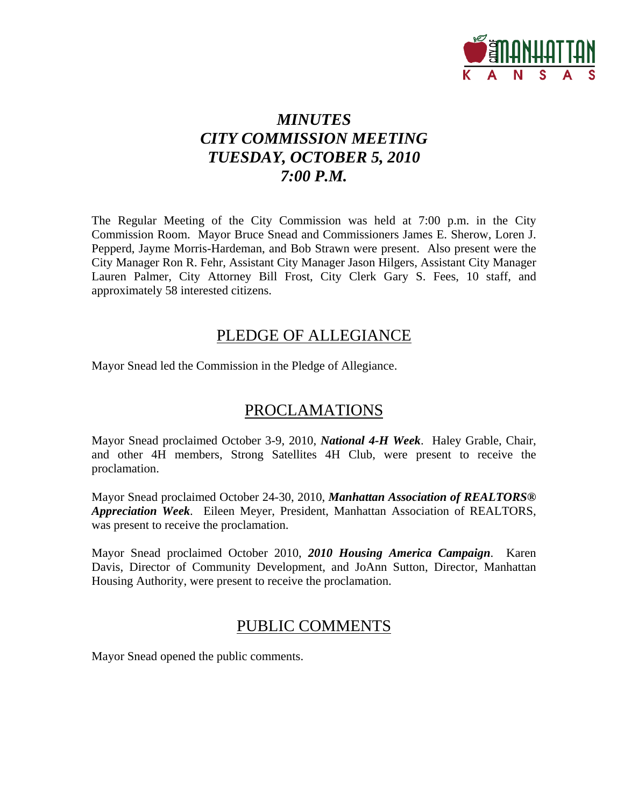

# *MINUTES CITY COMMISSION MEETING TUESDAY, OCTOBER 5, 2010 7:00 P.M.*

The Regular Meeting of the City Commission was held at 7:00 p.m. in the City Commission Room. Mayor Bruce Snead and Commissioners James E. Sherow, Loren J. Pepperd, Jayme Morris-Hardeman, and Bob Strawn were present. Also present were the City Manager Ron R. Fehr, Assistant City Manager Jason Hilgers, Assistant City Manager Lauren Palmer, City Attorney Bill Frost, City Clerk Gary S. Fees, 10 staff, and approximately 58 interested citizens.

# PLEDGE OF ALLEGIANCE

Mayor Snead led the Commission in the Pledge of Allegiance.

# PROCLAMATIONS

Mayor Snead proclaimed October 3-9, 2010, *National 4-H Week*. Haley Grable, Chair, and other 4H members, Strong Satellites 4H Club, were present to receive the proclamation.

Mayor Snead proclaimed October 24-30, 2010, *Manhattan Association of REALTORS® Appreciation Week*. Eileen Meyer, President, Manhattan Association of REALTORS, was present to receive the proclamation.

Mayor Snead proclaimed October 2010, *2010 Housing America Campaign*. Karen Davis, Director of Community Development, and JoAnn Sutton, Director, Manhattan Housing Authority, were present to receive the proclamation.

# PUBLIC COMMENTS

Mayor Snead opened the public comments.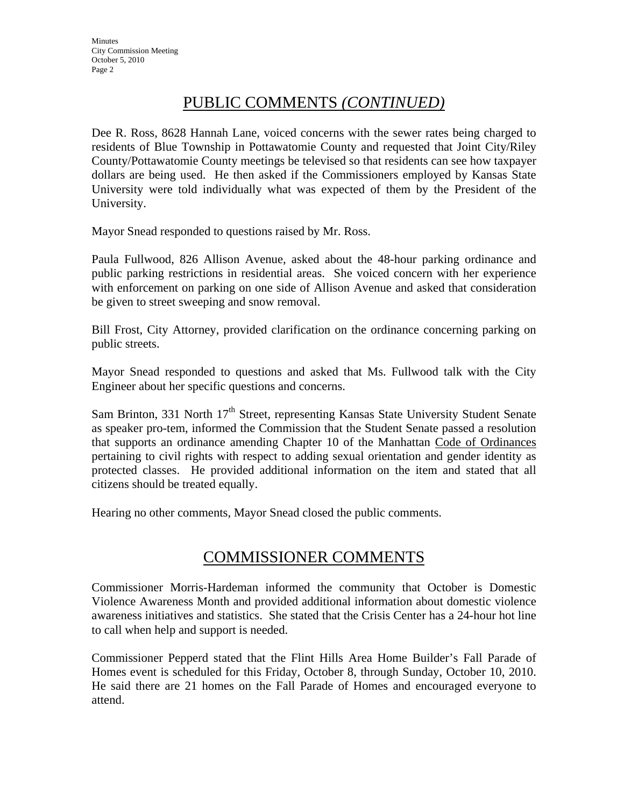# PUBLIC COMMENTS *(CONTINUED)*

Dee R. Ross, 8628 Hannah Lane, voiced concerns with the sewer rates being charged to residents of Blue Township in Pottawatomie County and requested that Joint City/Riley County/Pottawatomie County meetings be televised so that residents can see how taxpayer dollars are being used. He then asked if the Commissioners employed by Kansas State University were told individually what was expected of them by the President of the University.

Mayor Snead responded to questions raised by Mr. Ross.

Paula Fullwood, 826 Allison Avenue, asked about the 48-hour parking ordinance and public parking restrictions in residential areas. She voiced concern with her experience with enforcement on parking on one side of Allison Avenue and asked that consideration be given to street sweeping and snow removal.

Bill Frost, City Attorney, provided clarification on the ordinance concerning parking on public streets.

Mayor Snead responded to questions and asked that Ms. Fullwood talk with the City Engineer about her specific questions and concerns.

Sam Brinton, 331 North  $17<sup>th</sup>$  Street, representing Kansas State University Student Senate as speaker pro-tem, informed the Commission that the Student Senate passed a resolution that supports an ordinance amending Chapter 10 of the Manhattan Code of Ordinances pertaining to civil rights with respect to adding sexual orientation and gender identity as protected classes. He provided additional information on the item and stated that all citizens should be treated equally.

Hearing no other comments, Mayor Snead closed the public comments.

# COMMISSIONER COMMENTS

Commissioner Morris-Hardeman informed the community that October is Domestic Violence Awareness Month and provided additional information about domestic violence awareness initiatives and statistics. She stated that the Crisis Center has a 24-hour hot line to call when help and support is needed.

Commissioner Pepperd stated that the Flint Hills Area Home Builder's Fall Parade of Homes event is scheduled for this Friday, October 8, through Sunday, October 10, 2010. He said there are 21 homes on the Fall Parade of Homes and encouraged everyone to attend.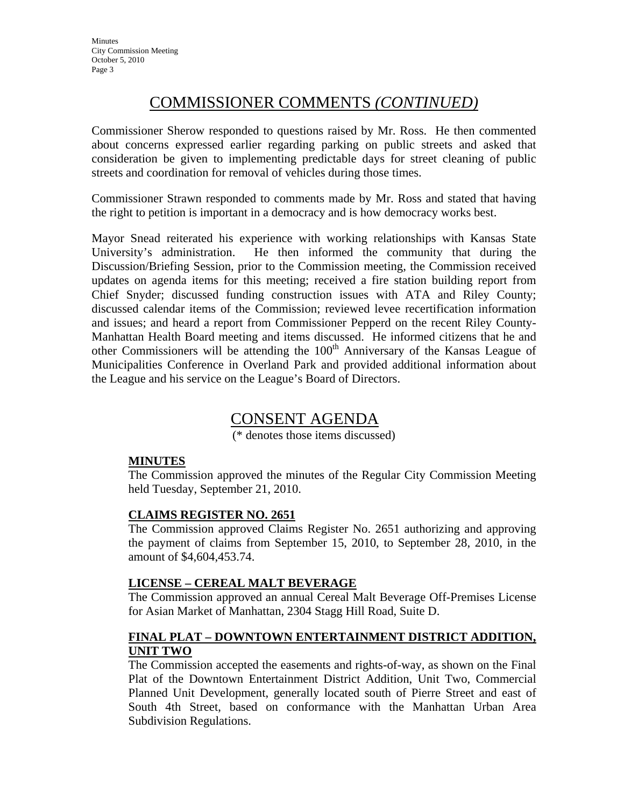# COMMISSIONER COMMENTS *(CONTINUED)*

Commissioner Sherow responded to questions raised by Mr. Ross. He then commented about concerns expressed earlier regarding parking on public streets and asked that consideration be given to implementing predictable days for street cleaning of public streets and coordination for removal of vehicles during those times.

Commissioner Strawn responded to comments made by Mr. Ross and stated that having the right to petition is important in a democracy and is how democracy works best.

Mayor Snead reiterated his experience with working relationships with Kansas State University's administration. He then informed the community that during the Discussion/Briefing Session, prior to the Commission meeting, the Commission received updates on agenda items for this meeting; received a fire station building report from Chief Snyder; discussed funding construction issues with ATA and Riley County; discussed calendar items of the Commission; reviewed levee recertification information and issues; and heard a report from Commissioner Pepperd on the recent Riley County-Manhattan Health Board meeting and items discussed. He informed citizens that he and other Commissioners will be attending the  $100<sup>th</sup>$  Anniversary of the Kansas League of Municipalities Conference in Overland Park and provided additional information about the League and his service on the League's Board of Directors.

# CONSENT AGENDA

(\* denotes those items discussed)

## **MINUTES**

The Commission approved the minutes of the Regular City Commission Meeting held Tuesday, September 21, 2010.

## **CLAIMS REGISTER NO. 2651**

The Commission approved Claims Register No. 2651 authorizing and approving the payment of claims from September 15, 2010, to September 28, 2010, in the amount of \$4,604,453.74.

## **LICENSE – CEREAL MALT BEVERAGE**

The Commission approved an annual Cereal Malt Beverage Off-Premises License for Asian Market of Manhattan, 2304 Stagg Hill Road, Suite D.

## **FINAL PLAT – DOWNTOWN ENTERTAINMENT DISTRICT ADDITION, UNIT TWO**

The Commission accepted the easements and rights-of-way, as shown on the Final Plat of the Downtown Entertainment District Addition, Unit Two, Commercial Planned Unit Development, generally located south of Pierre Street and east of South 4th Street, based on conformance with the Manhattan Urban Area Subdivision Regulations.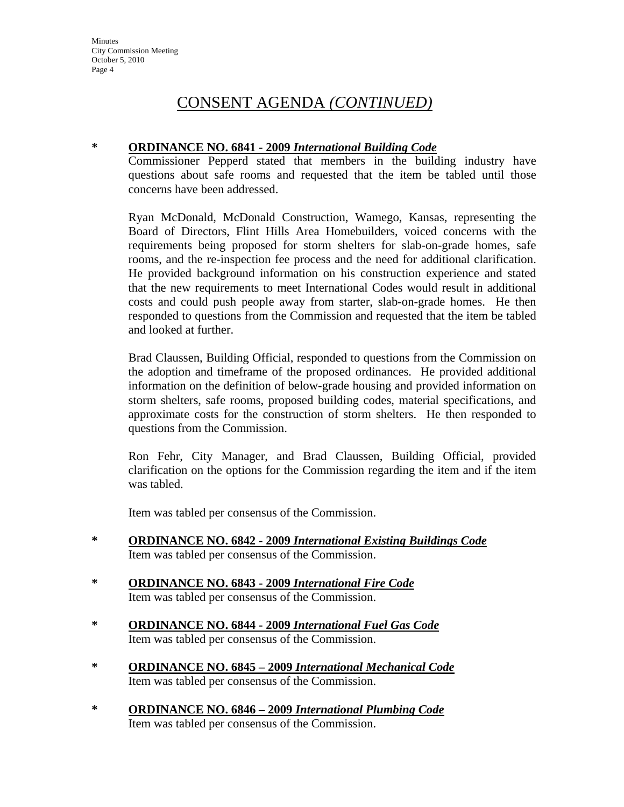### **\* ORDINANCE NO. 6841 - 2009** *International Building Code*

Commissioner Pepperd stated that members in the building industry have questions about safe rooms and requested that the item be tabled until those concerns have been addressed.

Ryan McDonald, McDonald Construction, Wamego, Kansas, representing the Board of Directors, Flint Hills Area Homebuilders, voiced concerns with the requirements being proposed for storm shelters for slab-on-grade homes, safe rooms, and the re-inspection fee process and the need for additional clarification. He provided background information on his construction experience and stated that the new requirements to meet International Codes would result in additional costs and could push people away from starter, slab-on-grade homes. He then responded to questions from the Commission and requested that the item be tabled and looked at further.

Brad Claussen, Building Official, responded to questions from the Commission on the adoption and timeframe of the proposed ordinances. He provided additional information on the definition of below-grade housing and provided information on storm shelters, safe rooms, proposed building codes, material specifications, and approximate costs for the construction of storm shelters. He then responded to questions from the Commission.

Ron Fehr, City Manager, and Brad Claussen, Building Official, provided clarification on the options for the Commission regarding the item and if the item was tabled.

Item was tabled per consensus of the Commission.

- **\* ORDINANCE NO. 6842 - 2009** *International Existing Buildings Code* Item was tabled per consensus of the Commission.
- **\* ORDINANCE NO. 6843 - 2009** *International Fire Code* Item was tabled per consensus of the Commission.
- **\* ORDINANCE NO. 6844 - 2009** *International Fuel Gas Code* Item was tabled per consensus of the Commission.
- **\* ORDINANCE NO. 6845 – 2009** *International Mechanical Code* Item was tabled per consensus of the Commission.
- **\* ORDINANCE NO. 6846 2009** *International Plumbing Code* Item was tabled per consensus of the Commission.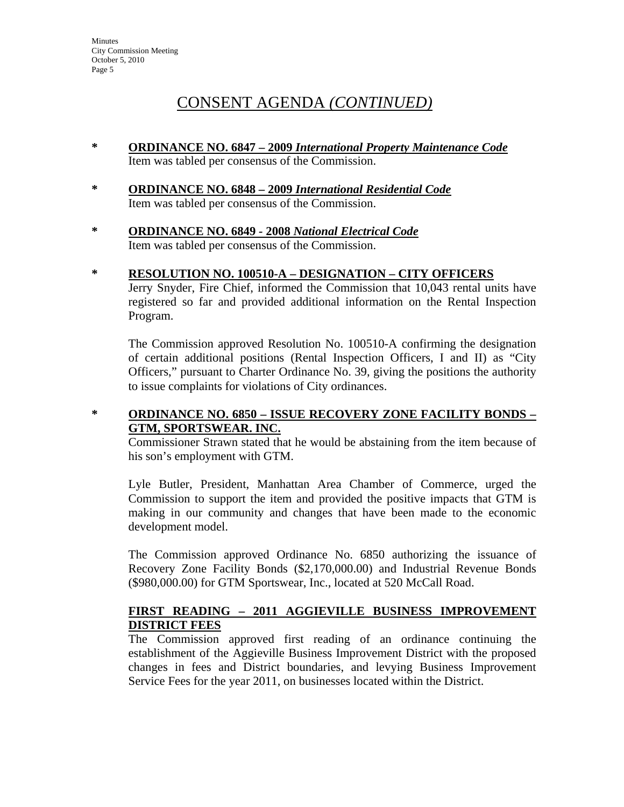- **\* ORDINANCE NO. 6847 – 2009** *International Property Maintenance Code* Item was tabled per consensus of the Commission.
- **\* ORDINANCE NO. 6848****2009** *International Residential Code* Item was tabled per consensus of the Commission.
- **\* ORDINANCE NO. 6849****2008** *National Electrical Code* Item was tabled per consensus of the Commission.
- **\* RESOLUTION NO. 100510-A DESIGNATION CITY OFFICERS** Jerry Snyder, Fire Chief, informed the Commission that 10,043 rental units have

registered so far and provided additional information on the Rental Inspection Program.

The Commission approved Resolution No. 100510-A confirming the designation of certain additional positions (Rental Inspection Officers, I and II) as "City Officers," pursuant to Charter Ordinance No. 39, giving the positions the authority to issue complaints for violations of City ordinances.

## **\* ORDINANCE NO. 6850 – ISSUE RECOVERY ZONE FACILITY BONDS – GTM, SPORTSWEAR. INC.**

Commissioner Strawn stated that he would be abstaining from the item because of his son's employment with GTM.

Lyle Butler, President, Manhattan Area Chamber of Commerce, urged the Commission to support the item and provided the positive impacts that GTM is making in our community and changes that have been made to the economic development model.

The Commission approved Ordinance No. 6850 authorizing the issuance of Recovery Zone Facility Bonds (\$2,170,000.00) and Industrial Revenue Bonds (\$980,000.00) for GTM Sportswear, Inc., located at 520 McCall Road.

## **FIRST READING – 2011 AGGIEVILLE BUSINESS IMPROVEMENT DISTRICT FEES**

The Commission approved first reading of an ordinance continuing the establishment of the Aggieville Business Improvement District with the proposed changes in fees and District boundaries, and levying Business Improvement Service Fees for the year 2011, on businesses located within the District.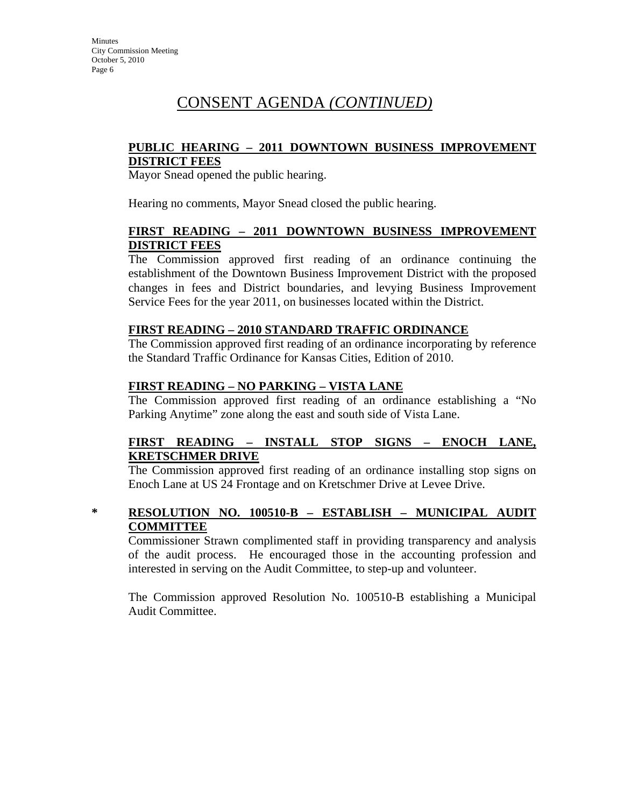### **PUBLIC HEARING – 2011 DOWNTOWN BUSINESS IMPROVEMENT DISTRICT FEES**

Mayor Snead opened the public hearing.

Hearing no comments, Mayor Snead closed the public hearing.

### **FIRST READING – 2011 DOWNTOWN BUSINESS IMPROVEMENT DISTRICT FEES**

The Commission approved first reading of an ordinance continuing the establishment of the Downtown Business Improvement District with the proposed changes in fees and District boundaries, and levying Business Improvement Service Fees for the year 2011, on businesses located within the District.

#### **FIRST READING – 2010 STANDARD TRAFFIC ORDINANCE**

The Commission approved first reading of an ordinance incorporating by reference the Standard Traffic Ordinance for Kansas Cities, Edition of 2010.

### **FIRST READING – NO PARKING – VISTA LANE**

The Commission approved first reading of an ordinance establishing a "No Parking Anytime" zone along the east and south side of Vista Lane.

### **FIRST READING – INSTALL STOP SIGNS – ENOCH LANE, KRETSCHMER DRIVE**

The Commission approved first reading of an ordinance installing stop signs on Enoch Lane at US 24 Frontage and on Kretschmer Drive at Levee Drive.

## **\* RESOLUTION NO. 100510-B – ESTABLISH – MUNICIPAL AUDIT COMMITTEE**

Commissioner Strawn complimented staff in providing transparency and analysis of the audit process. He encouraged those in the accounting profession and interested in serving on the Audit Committee, to step-up and volunteer.

The Commission approved Resolution No. 100510-B establishing a Municipal Audit Committee.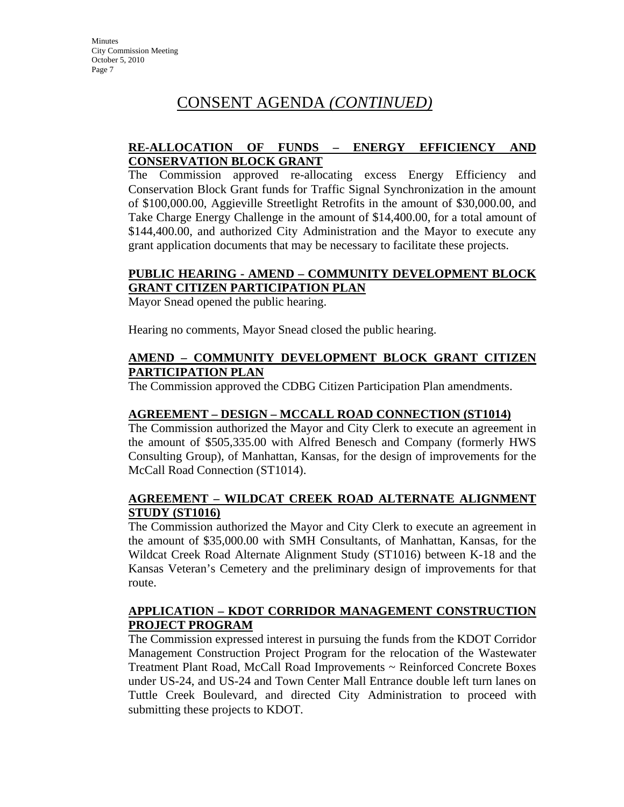## **RE-ALLOCATION OF FUNDS – ENERGY EFFICIENCY AND CONSERVATION BLOCK GRANT**

The Commission approved re-allocating excess Energy Efficiency and Conservation Block Grant funds for Traffic Signal Synchronization in the amount of \$100,000.00, Aggieville Streetlight Retrofits in the amount of \$30,000.00, and Take Charge Energy Challenge in the amount of \$14,400.00, for a total amount of \$144,400.00, and authorized City Administration and the Mayor to execute any grant application documents that may be necessary to facilitate these projects.

## **PUBLIC HEARING - AMEND – COMMUNITY DEVELOPMENT BLOCK GRANT CITIZEN PARTICIPATION PLAN**

Mayor Snead opened the public hearing.

Hearing no comments, Mayor Snead closed the public hearing.

### **AMEND – COMMUNITY DEVELOPMENT BLOCK GRANT CITIZEN PARTICIPATION PLAN**

The Commission approved the CDBG Citizen Participation Plan amendments.

## **AGREEMENT – DESIGN – MCCALL ROAD CONNECTION (ST1014)**

The Commission authorized the Mayor and City Clerk to execute an agreement in the amount of \$505,335.00 with Alfred Benesch and Company (formerly HWS Consulting Group), of Manhattan, Kansas, for the design of improvements for the McCall Road Connection (ST1014).

## **AGREEMENT – WILDCAT CREEK ROAD ALTERNATE ALIGNMENT STUDY (ST1016)**

The Commission authorized the Mayor and City Clerk to execute an agreement in the amount of \$35,000.00 with SMH Consultants, of Manhattan, Kansas, for the Wildcat Creek Road Alternate Alignment Study (ST1016) between K-18 and the Kansas Veteran's Cemetery and the preliminary design of improvements for that route.

## **APPLICATION – KDOT CORRIDOR MANAGEMENT CONSTRUCTION PROJECT PROGRAM**

The Commission expressed interest in pursuing the funds from the KDOT Corridor Management Construction Project Program for the relocation of the Wastewater Treatment Plant Road, McCall Road Improvements ~ Reinforced Concrete Boxes under US-24, and US-24 and Town Center Mall Entrance double left turn lanes on Tuttle Creek Boulevard, and directed City Administration to proceed with submitting these projects to KDOT.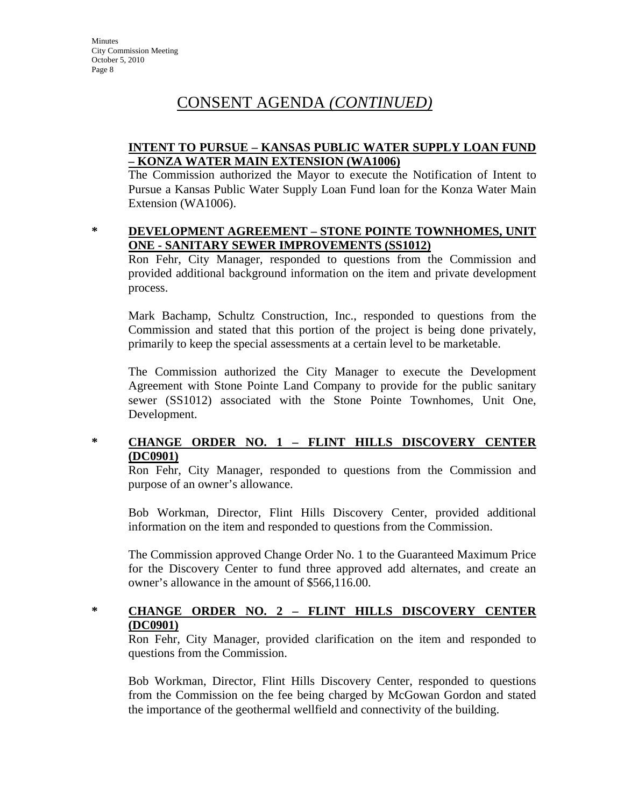## **INTENT TO PURSUE – KANSAS PUBLIC WATER SUPPLY LOAN FUND – KONZA WATER MAIN EXTENSION (WA1006)**

The Commission authorized the Mayor to execute the Notification of Intent to Pursue a Kansas Public Water Supply Loan Fund loan for the Konza Water Main Extension (WA1006).

#### **\* DEVELOPMENT AGREEMENT – STONE POINTE TOWNHOMES, UNIT ONE - SANITARY SEWER IMPROVEMENTS (SS1012)**

Ron Fehr, City Manager, responded to questions from the Commission and provided additional background information on the item and private development process.

Mark Bachamp, Schultz Construction, Inc., responded to questions from the Commission and stated that this portion of the project is being done privately, primarily to keep the special assessments at a certain level to be marketable.

The Commission authorized the City Manager to execute the Development Agreement with Stone Pointe Land Company to provide for the public sanitary sewer (SS1012) associated with the Stone Pointe Townhomes, Unit One, Development.

## **\* CHANGE ORDER NO. 1 – FLINT HILLS DISCOVERY CENTER (DC0901)**

Ron Fehr, City Manager, responded to questions from the Commission and purpose of an owner's allowance.

Bob Workman, Director, Flint Hills Discovery Center, provided additional information on the item and responded to questions from the Commission.

The Commission approved Change Order No. 1 to the Guaranteed Maximum Price for the Discovery Center to fund three approved add alternates, and create an owner's allowance in the amount of \$566,116.00.

## **\* CHANGE ORDER NO. 2 – FLINT HILLS DISCOVERY CENTER (DC0901)**

Ron Fehr, City Manager, provided clarification on the item and responded to questions from the Commission.

Bob Workman, Director, Flint Hills Discovery Center, responded to questions from the Commission on the fee being charged by McGowan Gordon and stated the importance of the geothermal wellfield and connectivity of the building.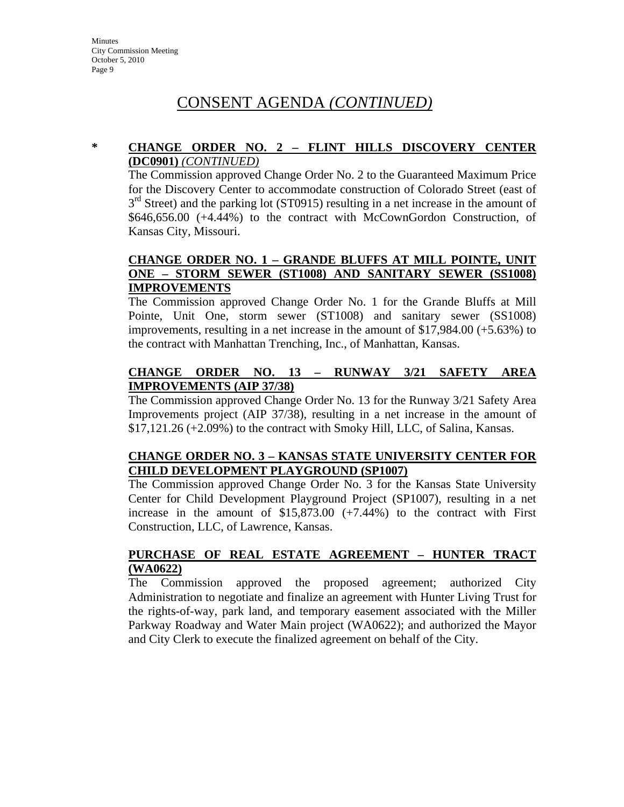#### **\* CHANGE ORDER NO. 2 – FLINT HILLS DISCOVERY CENTER (DC0901)** *(CONTINUED)*

The Commission approved Change Order No. 2 to the Guaranteed Maximum Price for the Discovery Center to accommodate construction of Colorado Street (east of  $3<sup>rd</sup>$  Street) and the parking lot (ST0915) resulting in a net increase in the amount of \$646,656.00 (+4.44%) to the contract with McCownGordon Construction, of Kansas City, Missouri.

### **CHANGE ORDER NO. 1 – GRANDE BLUFFS AT MILL POINTE, UNIT ONE – STORM SEWER (ST1008) AND SANITARY SEWER (SS1008) IMPROVEMENTS**

The Commission approved Change Order No. 1 for the Grande Bluffs at Mill Pointe, Unit One, storm sewer (ST1008) and sanitary sewer (SS1008) improvements, resulting in a net increase in the amount of \$17,984.00 (+5.63%) to the contract with Manhattan Trenching, Inc., of Manhattan, Kansas.

## **CHANGE ORDER NO. 13 – RUNWAY 3/21 SAFETY AREA IMPROVEMENTS (AIP 37/38)**

The Commission approved Change Order No. 13 for the Runway 3/21 Safety Area Improvements project (AIP 37/38), resulting in a net increase in the amount of \$17,121.26 (+2.09%) to the contract with Smoky Hill, LLC, of Salina, Kansas.

## **CHANGE ORDER NO. 3 – KANSAS STATE UNIVERSITY CENTER FOR CHILD DEVELOPMENT PLAYGROUND (SP1007)**

The Commission approved Change Order No. 3 for the Kansas State University Center for Child Development Playground Project (SP1007), resulting in a net increase in the amount of \$15,873.00 (+7.44%) to the contract with First Construction, LLC, of Lawrence, Kansas.

## **PURCHASE OF REAL ESTATE AGREEMENT – HUNTER TRACT (WA0622)**

The Commission approved the proposed agreement; authorized City Administration to negotiate and finalize an agreement with Hunter Living Trust for the rights-of-way, park land, and temporary easement associated with the Miller Parkway Roadway and Water Main project (WA0622); and authorized the Mayor and City Clerk to execute the finalized agreement on behalf of the City.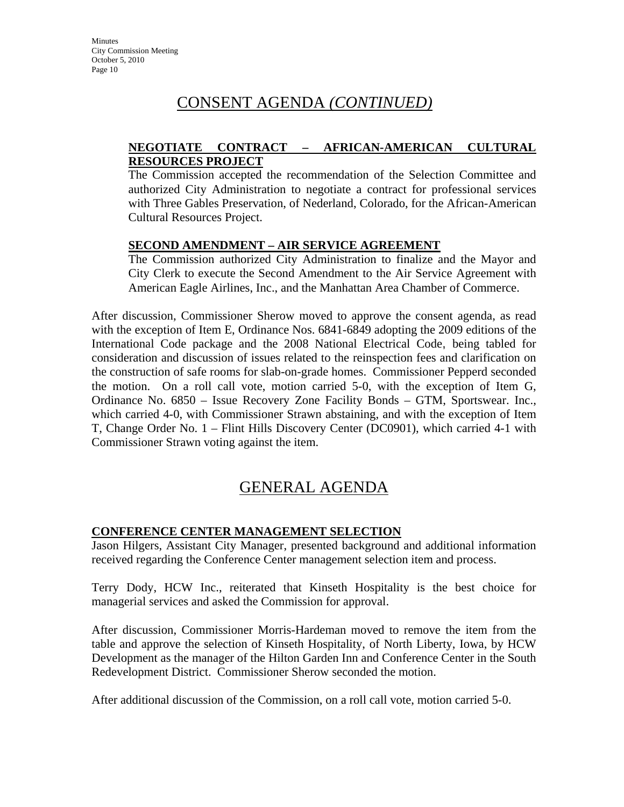## **NEGOTIATE CONTRACT – AFRICAN-AMERICAN CULTURAL RESOURCES PROJECT**

The Commission accepted the recommendation of the Selection Committee and authorized City Administration to negotiate a contract for professional services with Three Gables Preservation, of Nederland, Colorado, for the African-American Cultural Resources Project.

## **SECOND AMENDMENT – AIR SERVICE AGREEMENT**

The Commission authorized City Administration to finalize and the Mayor and City Clerk to execute the Second Amendment to the Air Service Agreement with American Eagle Airlines, Inc., and the Manhattan Area Chamber of Commerce.

After discussion, Commissioner Sherow moved to approve the consent agenda, as read with the exception of Item E, Ordinance Nos. 6841-6849 adopting the 2009 editions of the International Code package and the 2008 National Electrical Code, being tabled for consideration and discussion of issues related to the reinspection fees and clarification on the construction of safe rooms for slab-on-grade homes. Commissioner Pepperd seconded the motion. On a roll call vote, motion carried 5-0, with the exception of Item G, Ordinance No. 6850 – Issue Recovery Zone Facility Bonds – GTM, Sportswear. Inc., which carried 4-0, with Commissioner Strawn abstaining, and with the exception of Item T, Change Order No. 1 – Flint Hills Discovery Center (DC0901), which carried 4-1 with Commissioner Strawn voting against the item.

# GENERAL AGENDA

## **CONFERENCE CENTER MANAGEMENT SELECTION**

Jason Hilgers, Assistant City Manager, presented background and additional information received regarding the Conference Center management selection item and process.

Terry Dody, HCW Inc., reiterated that Kinseth Hospitality is the best choice for managerial services and asked the Commission for approval.

After discussion, Commissioner Morris-Hardeman moved to remove the item from the table and approve the selection of Kinseth Hospitality, of North Liberty, Iowa, by HCW Development as the manager of the Hilton Garden Inn and Conference Center in the South Redevelopment District. Commissioner Sherow seconded the motion.

After additional discussion of the Commission, on a roll call vote, motion carried 5-0.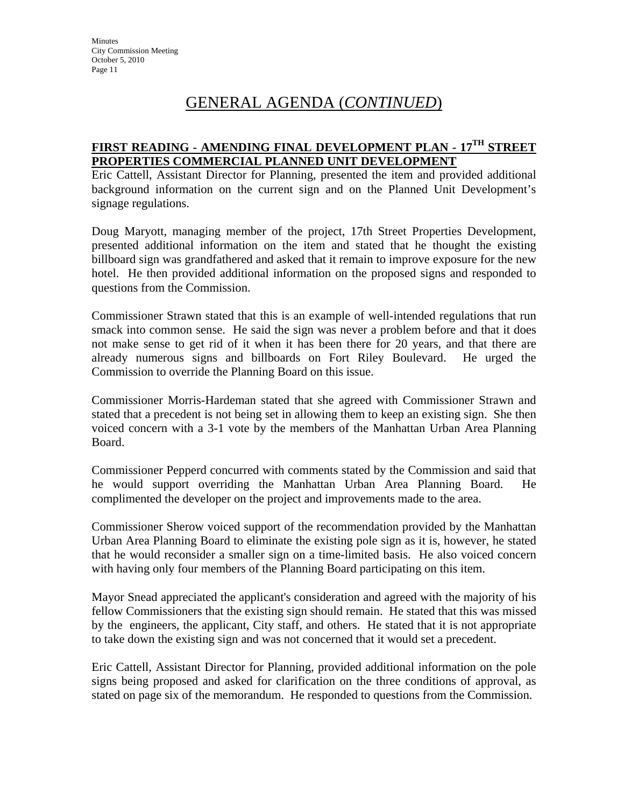# GENERAL AGENDA (*CONTINUED*)

# **FIRST READING - AMENDING FINAL DEVELOPMENT PLAN - 17TH STREET PROPERTIES COMMERCIAL PLANNED UNIT DEVELOPMENT**

Eric Cattell, Assistant Director for Planning, presented the item and provided additional background information on the current sign and on the Planned Unit Development's signage regulations.

Doug Maryott, managing member of the project, 17th Street Properties Development, presented additional information on the item and stated that he thought the existing billboard sign was grandfathered and asked that it remain to improve exposure for the new hotel. He then provided additional information on the proposed signs and responded to questions from the Commission.

Commissioner Strawn stated that this is an example of well-intended regulations that run smack into common sense. He said the sign was never a problem before and that it does not make sense to get rid of it when it has been there for 20 years, and that there are already numerous signs and billboards on Fort Riley Boulevard. He urged the Commission to override the Planning Board on this issue.

Commissioner Morris-Hardeman stated that she agreed with Commissioner Strawn and stated that a precedent is not being set in allowing them to keep an existing sign. She then voiced concern with a 3-1 vote by the members of the Manhattan Urban Area Planning Board.

Commissioner Pepperd concurred with comments stated by the Commission and said that he would support overriding the Manhattan Urban Area Planning Board. He complimented the developer on the project and improvements made to the area.

Commissioner Sherow voiced support of the recommendation provided by the Manhattan Urban Area Planning Board to eliminate the existing pole sign as it is, however, he stated that he would reconsider a smaller sign on a time-limited basis. He also voiced concern with having only four members of the Planning Board participating on this item.

Mayor Snead appreciated the applicant's consideration and agreed with the majority of his fellow Commissioners that the existing sign should remain. He stated that this was missed by the engineers, the applicant, City staff, and others. He stated that it is not appropriate to take down the existing sign and was not concerned that it would set a precedent.

Eric Cattell, Assistant Director for Planning, provided additional information on the pole signs being proposed and asked for clarification on the three conditions of approval, as stated on page six of the memorandum. He responded to questions from the Commission.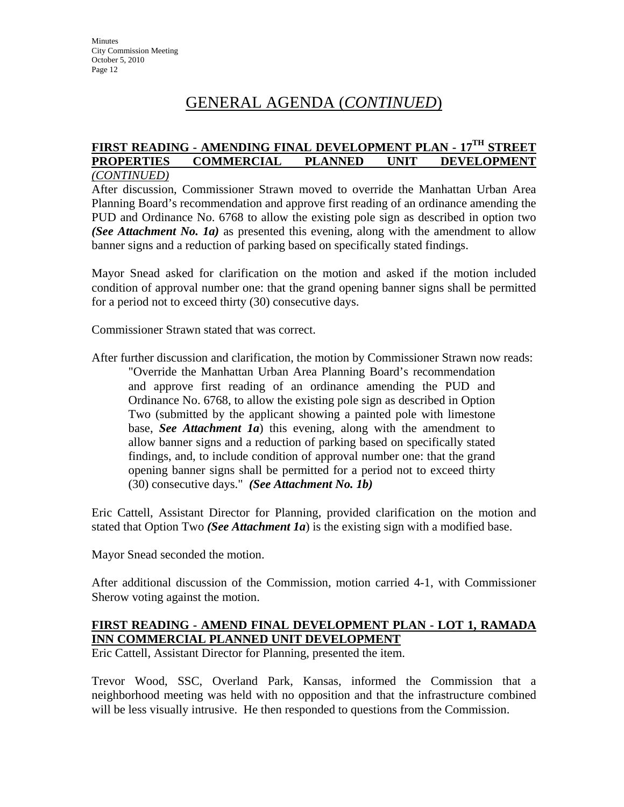# GENERAL AGENDA (*CONTINUED*)

#### **FIRST READING - AMENDING FINAL DEVELOPMENT PLAN - 17TH STREET PROPERTIES COMMERCIAL PLANNED UNIT DEVELOPMENT** *(CONTINUED)*

After discussion, Commissioner Strawn moved to override the Manhattan Urban Area Planning Board's recommendation and approve first reading of an ordinance amending the PUD and Ordinance No. 6768 to allow the existing pole sign as described in option two *(See Attachment No. 1a)* as presented this evening, along with the amendment to allow banner signs and a reduction of parking based on specifically stated findings.

Mayor Snead asked for clarification on the motion and asked if the motion included condition of approval number one: that the grand opening banner signs shall be permitted for a period not to exceed thirty (30) consecutive days.

Commissioner Strawn stated that was correct.

After further discussion and clarification, the motion by Commissioner Strawn now reads: "Override the Manhattan Urban Area Planning Board's recommendation and approve first reading of an ordinance amending the PUD and Ordinance No. 6768, to allow the existing pole sign as described in Option Two (submitted by the applicant showing a painted pole with limestone base, *See Attachment 1a*) this evening, along with the amendment to allow banner signs and a reduction of parking based on specifically stated findings, and, to include condition of approval number one: that the grand opening banner signs shall be permitted for a period not to exceed thirty (30) consecutive days." *(See Attachment No. 1b)*

Eric Cattell, Assistant Director for Planning, provided clarification on the motion and stated that Option Two *(See Attachment 1a*) is the existing sign with a modified base.

Mayor Snead seconded the motion.

After additional discussion of the Commission, motion carried 4-1, with Commissioner Sherow voting against the motion.

## **FIRST READING - AMEND FINAL DEVELOPMENT PLAN - LOT 1, RAMADA INN COMMERCIAL PLANNED UNIT DEVELOPMENT**

Eric Cattell, Assistant Director for Planning, presented the item.

Trevor Wood, SSC, Overland Park, Kansas, informed the Commission that a neighborhood meeting was held with no opposition and that the infrastructure combined will be less visually intrusive. He then responded to questions from the Commission.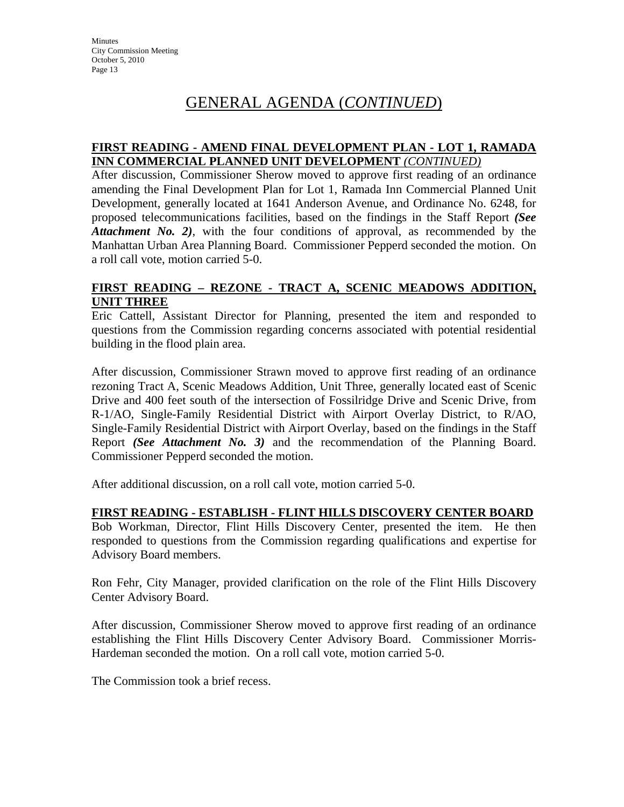# GENERAL AGENDA (*CONTINUED*)

#### **FIRST READING - AMEND FINAL DEVELOPMENT PLAN - LOT 1, RAMADA INN COMMERCIAL PLANNED UNIT DEVELOPMENT** *(CONTINUED)*

After discussion, Commissioner Sherow moved to approve first reading of an ordinance amending the Final Development Plan for Lot 1, Ramada Inn Commercial Planned Unit Development, generally located at 1641 Anderson Avenue, and Ordinance No. 6248, for proposed telecommunications facilities, based on the findings in the Staff Report *(See Attachment No. 2)*, with the four conditions of approval, as recommended by the Manhattan Urban Area Planning Board. Commissioner Pepperd seconded the motion. On a roll call vote, motion carried 5-0.

### **FIRST READING – REZONE - TRACT A, SCENIC MEADOWS ADDITION, UNIT THREE**

Eric Cattell, Assistant Director for Planning, presented the item and responded to questions from the Commission regarding concerns associated with potential residential building in the flood plain area.

After discussion, Commissioner Strawn moved to approve first reading of an ordinance rezoning Tract A, Scenic Meadows Addition, Unit Three, generally located east of Scenic Drive and 400 feet south of the intersection of Fossilridge Drive and Scenic Drive, from R-1/AO, Single-Family Residential District with Airport Overlay District, to R/AO, Single-Family Residential District with Airport Overlay, based on the findings in the Staff Report *(See Attachment No. 3)* and the recommendation of the Planning Board. Commissioner Pepperd seconded the motion.

After additional discussion, on a roll call vote, motion carried 5-0.

#### **FIRST READING - ESTABLISH - FLINT HILLS DISCOVERY CENTER BOARD**

Bob Workman, Director, Flint Hills Discovery Center, presented the item. He then responded to questions from the Commission regarding qualifications and expertise for Advisory Board members.

Ron Fehr, City Manager, provided clarification on the role of the Flint Hills Discovery Center Advisory Board.

After discussion, Commissioner Sherow moved to approve first reading of an ordinance establishing the Flint Hills Discovery Center Advisory Board. Commissioner Morris-Hardeman seconded the motion. On a roll call vote, motion carried 5-0.

The Commission took a brief recess.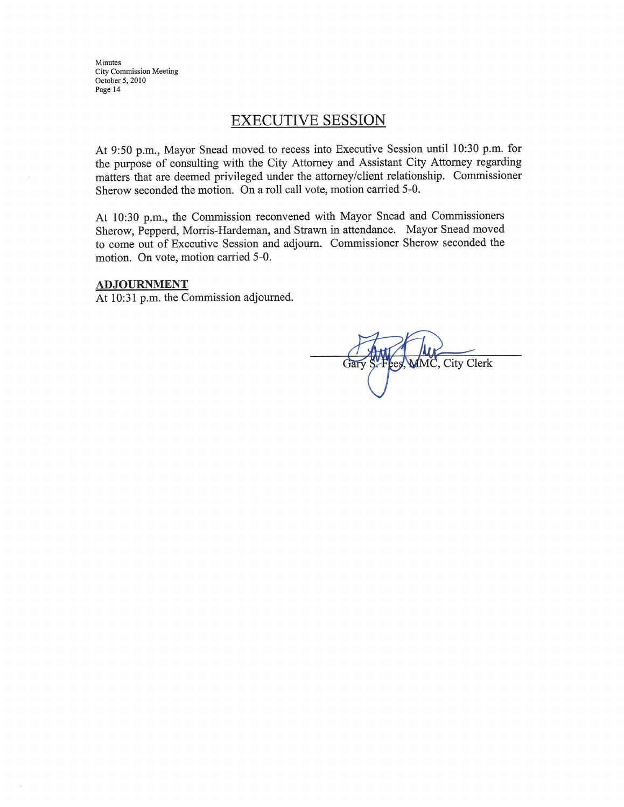Minutes City Commission Meeting October 5, 2010 Page 14

# **EXECUTIVE SESSION**

At 9:50 p.m., Mayor Snead moved to recess into Executive Session until 10:30 p.m. for the purpose of consulting with the City Attorney and Assistant City Attorney regarding matters that are deemed privileged under the attorney/client relationship. Commissioner Sherow seconded the motion. On a roll call vote, motion carried 5-0.

At 10:30 p.m., the Commission reconvened with Mayor Snead and Commissioners Sherow, Pepperd, Morris-Hardeman, and Strawn in attendance. Mayor Snead moved to come out of Executive Session and adjourn. Commissioner Sherow seconded the motion. On vote, motion carried 5-0.

#### **ADJOURNMENT**

At 10:31 p.m. the Commission adjourned.

City Clerk Gar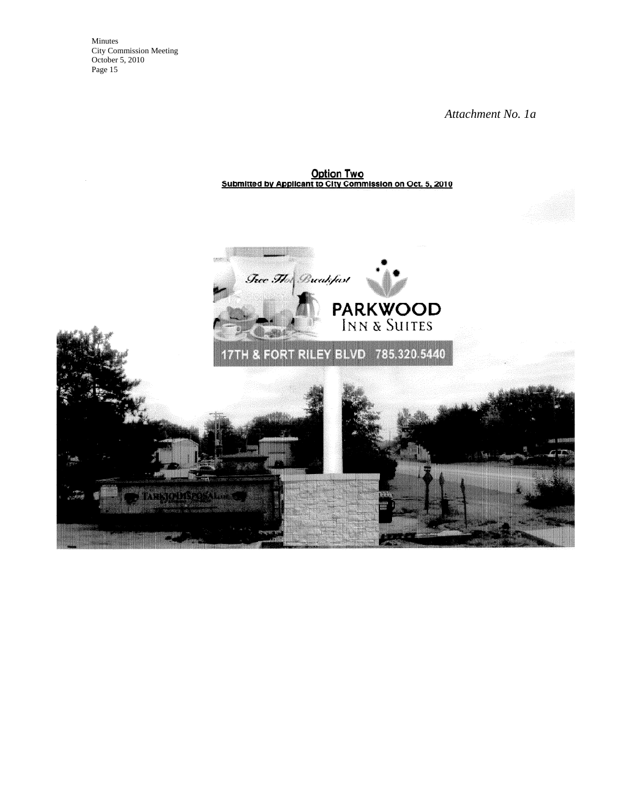Minutes City Commission Meeting October 5, 2010 Page 15

*Attachment No. 1a* 

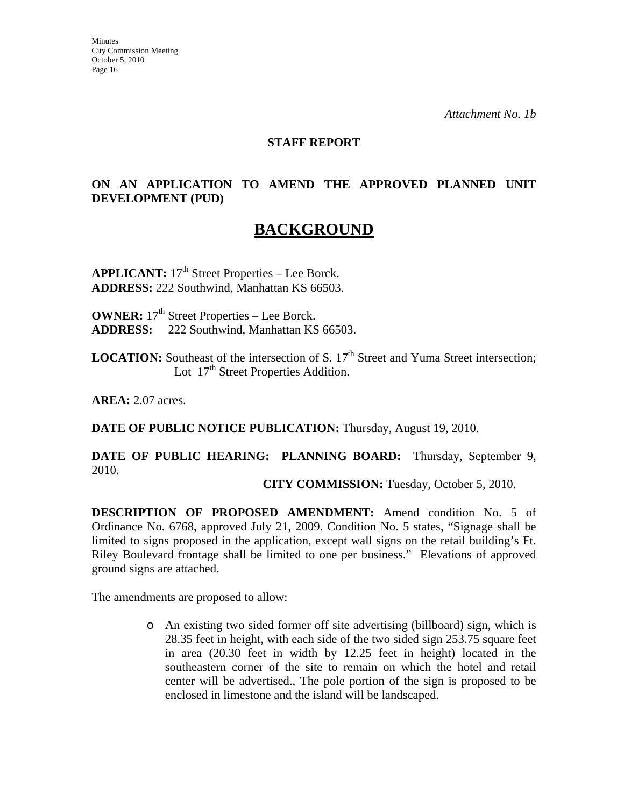#### **STAFF REPORT**

## **ON AN APPLICATION TO AMEND THE APPROVED PLANNED UNIT DEVELOPMENT (PUD)**

# **BACKGROUND**

**APPLICANT:** 17<sup>th</sup> Street Properties – Lee Borck. **ADDRESS:** 222 Southwind, Manhattan KS 66503.

**OWNER:**  $17<sup>th</sup>$  Street Properties – Lee Borck. **ADDRESS:** 222 Southwind, Manhattan KS 66503.

**LOCATION:** Southeast of the intersection of S. 17<sup>th</sup> Street and Yuma Street intersection; Lot 17<sup>th</sup> Street Properties Addition.

**AREA:** 2.07 acres.

**DATE OF PUBLIC NOTICE PUBLICATION:** Thursday, August 19, 2010.

**DATE OF PUBLIC HEARING: PLANNING BOARD:** Thursday, September 9, 2010.

**CITY COMMISSION:** Tuesday, October 5, 2010.

**DESCRIPTION OF PROPOSED AMENDMENT:** Amend condition No. 5 of Ordinance No. 6768, approved July 21, 2009. Condition No. 5 states, "Signage shall be limited to signs proposed in the application, except wall signs on the retail building's Ft. Riley Boulevard frontage shall be limited to one per business." Elevations of approved ground signs are attached.

The amendments are proposed to allow:

o An existing two sided former off site advertising (billboard) sign, which is 28.35 feet in height, with each side of the two sided sign 253.75 square feet in area (20.30 feet in width by 12.25 feet in height) located in the southeastern corner of the site to remain on which the hotel and retail center will be advertised., The pole portion of the sign is proposed to be enclosed in limestone and the island will be landscaped.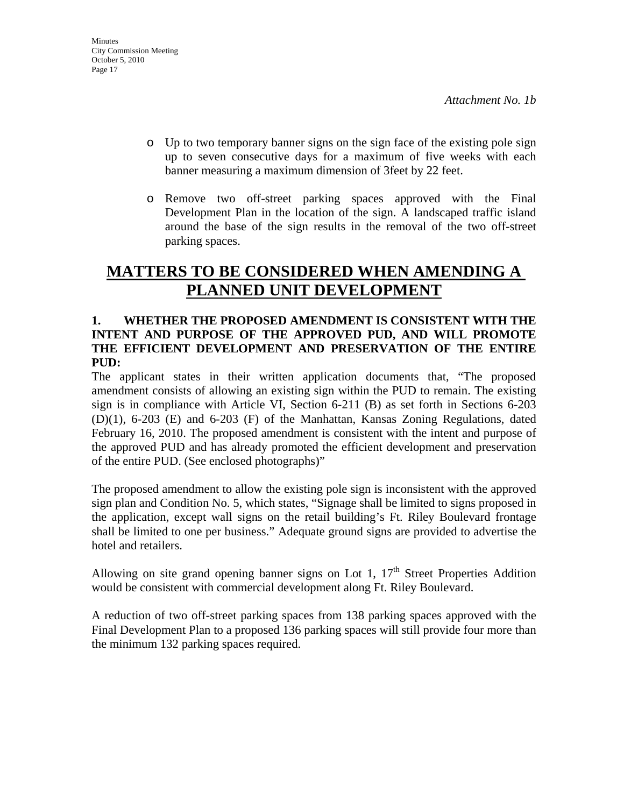- o Up to two temporary banner signs on the sign face of the existing pole sign up to seven consecutive days for a maximum of five weeks with each banner measuring a maximum dimension of 3feet by 22 feet.
- o Remove two off-street parking spaces approved with the Final Development Plan in the location of the sign. A landscaped traffic island around the base of the sign results in the removal of the two off-street parking spaces.

# **MATTERS TO BE CONSIDERED WHEN AMENDING A PLANNED UNIT DEVELOPMENT**

### **1. WHETHER THE PROPOSED AMENDMENT IS CONSISTENT WITH THE INTENT AND PURPOSE OF THE APPROVED PUD, AND WILL PROMOTE THE EFFICIENT DEVELOPMENT AND PRESERVATION OF THE ENTIRE PUD:**

The applicant states in their written application documents that, "The proposed amendment consists of allowing an existing sign within the PUD to remain. The existing sign is in compliance with Article VI, Section 6-211 (B) as set forth in Sections 6-203 (D)(1), 6-203 (E) and 6-203 (F) of the Manhattan, Kansas Zoning Regulations, dated February 16, 2010. The proposed amendment is consistent with the intent and purpose of the approved PUD and has already promoted the efficient development and preservation of the entire PUD. (See enclosed photographs)"

The proposed amendment to allow the existing pole sign is inconsistent with the approved sign plan and Condition No. 5, which states, "Signage shall be limited to signs proposed in the application, except wall signs on the retail building's Ft. Riley Boulevard frontage shall be limited to one per business." Adequate ground signs are provided to advertise the hotel and retailers.

Allowing on site grand opening banner signs on Lot 1,  $17<sup>th</sup>$  Street Properties Addition would be consistent with commercial development along Ft. Riley Boulevard.

A reduction of two off-street parking spaces from 138 parking spaces approved with the Final Development Plan to a proposed 136 parking spaces will still provide four more than the minimum 132 parking spaces required.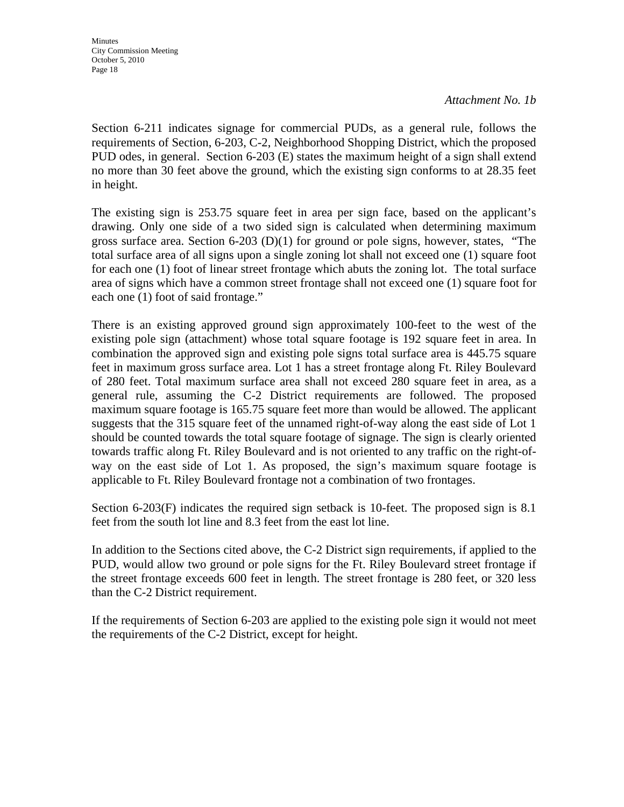**Minutes** City Commission Meeting October 5, 2010 Page 18

*Attachment No. 1b* 

Section 6-211 indicates signage for commercial PUDs, as a general rule, follows the requirements of Section, 6-203, C-2, Neighborhood Shopping District, which the proposed PUD odes, in general. Section 6-203 (E) states the maximum height of a sign shall extend no more than 30 feet above the ground, which the existing sign conforms to at 28.35 feet in height.

The existing sign is 253.75 square feet in area per sign face, based on the applicant's drawing. Only one side of a two sided sign is calculated when determining maximum gross surface area. Section 6-203 (D)(1) for ground or pole signs, however, states, "The total surface area of all signs upon a single zoning lot shall not exceed one (1) square foot for each one (1) foot of linear street frontage which abuts the zoning lot. The total surface area of signs which have a common street frontage shall not exceed one (1) square foot for each one (1) foot of said frontage."

There is an existing approved ground sign approximately 100-feet to the west of the existing pole sign (attachment) whose total square footage is 192 square feet in area. In combination the approved sign and existing pole signs total surface area is 445.75 square feet in maximum gross surface area. Lot 1 has a street frontage along Ft. Riley Boulevard of 280 feet. Total maximum surface area shall not exceed 280 square feet in area, as a general rule, assuming the C-2 District requirements are followed. The proposed maximum square footage is 165.75 square feet more than would be allowed. The applicant suggests that the 315 square feet of the unnamed right-of-way along the east side of Lot 1 should be counted towards the total square footage of signage. The sign is clearly oriented towards traffic along Ft. Riley Boulevard and is not oriented to any traffic on the right-ofway on the east side of Lot 1. As proposed, the sign's maximum square footage is applicable to Ft. Riley Boulevard frontage not a combination of two frontages.

Section 6-203(F) indicates the required sign setback is 10-feet. The proposed sign is 8.1 feet from the south lot line and 8.3 feet from the east lot line.

In addition to the Sections cited above, the C-2 District sign requirements, if applied to the PUD, would allow two ground or pole signs for the Ft. Riley Boulevard street frontage if the street frontage exceeds 600 feet in length. The street frontage is 280 feet, or 320 less than the C-2 District requirement.

If the requirements of Section 6-203 are applied to the existing pole sign it would not meet the requirements of the C-2 District, except for height.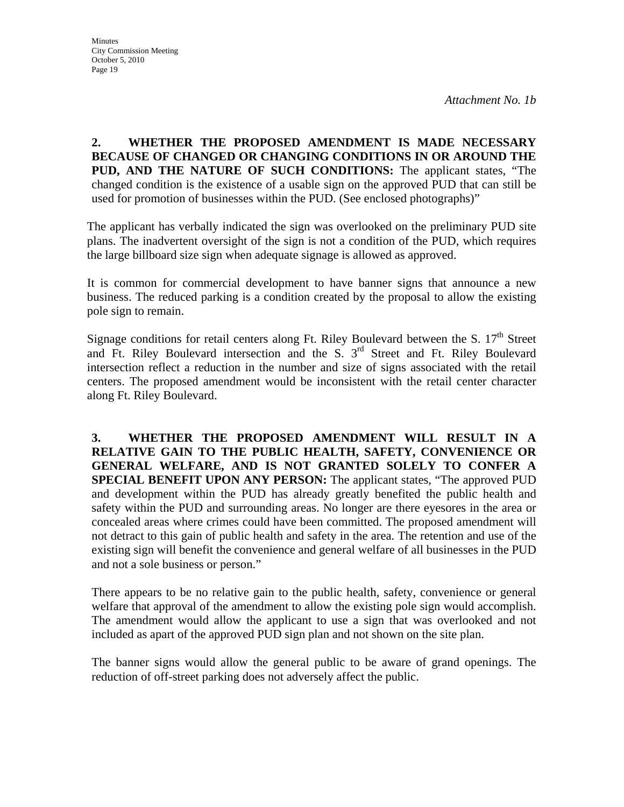**2. WHETHER THE PROPOSED AMENDMENT IS MADE NECESSARY BECAUSE OF CHANGED OR CHANGING CONDITIONS IN OR AROUND THE PUD, AND THE NATURE OF SUCH CONDITIONS:** The applicant states, "The changed condition is the existence of a usable sign on the approved PUD that can still be used for promotion of businesses within the PUD. (See enclosed photographs)"

The applicant has verbally indicated the sign was overlooked on the preliminary PUD site plans. The inadvertent oversight of the sign is not a condition of the PUD, which requires the large billboard size sign when adequate signage is allowed as approved.

It is common for commercial development to have banner signs that announce a new business. The reduced parking is a condition created by the proposal to allow the existing pole sign to remain.

Signage conditions for retail centers along Ft. Riley Boulevard between the S. 17<sup>th</sup> Street and Ft. Riley Boulevard intersection and the S.  $3<sup>rd</sup>$  Street and Ft. Riley Boulevard intersection reflect a reduction in the number and size of signs associated with the retail centers. The proposed amendment would be inconsistent with the retail center character along Ft. Riley Boulevard.

**3. WHETHER THE PROPOSED AMENDMENT WILL RESULT IN A RELATIVE GAIN TO THE PUBLIC HEALTH, SAFETY, CONVENIENCE OR GENERAL WELFARE, AND IS NOT GRANTED SOLELY TO CONFER A SPECIAL BENEFIT UPON ANY PERSON:** The applicant states, "The approved PUD and development within the PUD has already greatly benefited the public health and safety within the PUD and surrounding areas. No longer are there eyesores in the area or concealed areas where crimes could have been committed. The proposed amendment will not detract to this gain of public health and safety in the area. The retention and use of the existing sign will benefit the convenience and general welfare of all businesses in the PUD and not a sole business or person."

There appears to be no relative gain to the public health, safety, convenience or general welfare that approval of the amendment to allow the existing pole sign would accomplish. The amendment would allow the applicant to use a sign that was overlooked and not included as apart of the approved PUD sign plan and not shown on the site plan.

The banner signs would allow the general public to be aware of grand openings. The reduction of off-street parking does not adversely affect the public.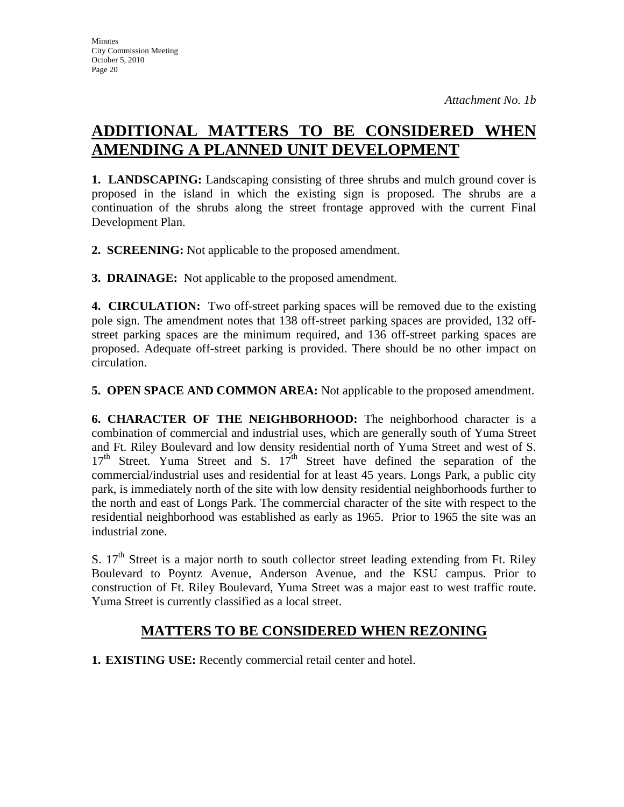# **ADDITIONAL MATTERS TO BE CONSIDERED WHEN AMENDING A PLANNED UNIT DEVELOPMENT**

**1. LANDSCAPING:** Landscaping consisting of three shrubs and mulch ground cover is proposed in the island in which the existing sign is proposed. The shrubs are a continuation of the shrubs along the street frontage approved with the current Final Development Plan.

**2. SCREENING:** Not applicable to the proposed amendment.

**3. DRAINAGE:** Not applicable to the proposed amendment.

**4. CIRCULATION:** Two off-street parking spaces will be removed due to the existing pole sign. The amendment notes that 138 off-street parking spaces are provided, 132 offstreet parking spaces are the minimum required, and 136 off-street parking spaces are proposed. Adequate off-street parking is provided. There should be no other impact on circulation.

**5. OPEN SPACE AND COMMON AREA:** Not applicable to the proposed amendment.

**6. CHARACTER OF THE NEIGHBORHOOD:** The neighborhood character is a combination of commercial and industrial uses, which are generally south of Yuma Street and Ft. Riley Boulevard and low density residential north of Yuma Street and west of S.  $17<sup>th</sup>$  Street. Yuma Street and S.  $17<sup>th</sup>$  Street have defined the separation of the commercial/industrial uses and residential for at least 45 years. Longs Park, a public city park, is immediately north of the site with low density residential neighborhoods further to the north and east of Longs Park. The commercial character of the site with respect to the residential neighborhood was established as early as 1965. Prior to 1965 the site was an industrial zone.

S.  $17<sup>th</sup>$  Street is a major north to south collector street leading extending from Ft. Riley Boulevard to Poyntz Avenue, Anderson Avenue, and the KSU campus. Prior to construction of Ft. Riley Boulevard, Yuma Street was a major east to west traffic route. Yuma Street is currently classified as a local street.

# **MATTERS TO BE CONSIDERED WHEN REZONING**

**1. EXISTING USE:** Recently commercial retail center and hotel.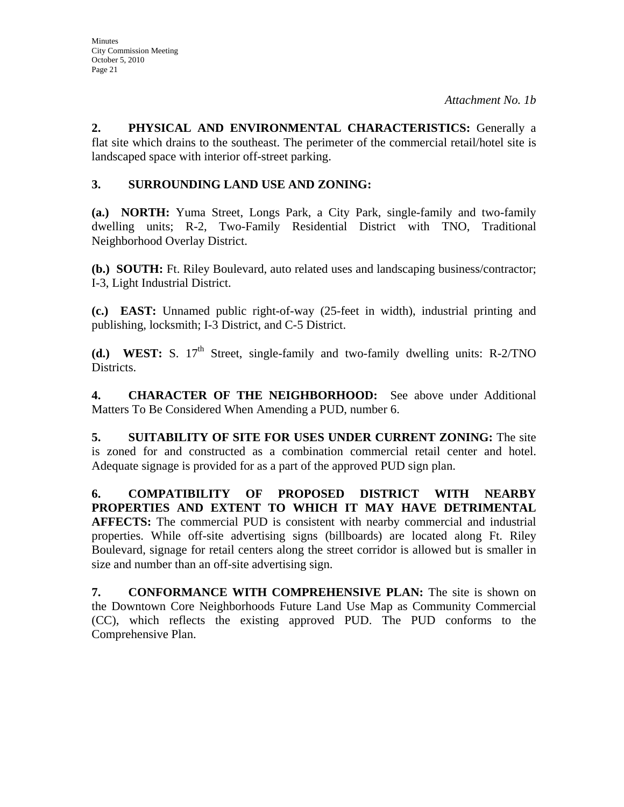**2. PHYSICAL AND ENVIRONMENTAL CHARACTERISTICS:** Generally a flat site which drains to the southeast. The perimeter of the commercial retail/hotel site is landscaped space with interior off-street parking.

# **3. SURROUNDING LAND USE AND ZONING:**

**(a.) NORTH:** Yuma Street, Longs Park, a City Park, single-family and two-family dwelling units; R-2, Two-Family Residential District with TNO, Traditional Neighborhood Overlay District.

**(b.) SOUTH:** Ft. Riley Boulevard, auto related uses and landscaping business/contractor; I-3, Light Industrial District.

**(c.) EAST:** Unnamed public right-of-way (25-feet in width), industrial printing and publishing, locksmith; I-3 District, and C-5 District.

**(d.) WEST:** S. 17<sup>th</sup> Street, single-family and two-family dwelling units: R-2/TNO Districts.

**4. CHARACTER OF THE NEIGHBORHOOD:** See above under Additional Matters To Be Considered When Amending a PUD, number 6.

**5. SUITABILITY OF SITE FOR USES UNDER CURRENT ZONING:** The site is zoned for and constructed as a combination commercial retail center and hotel. Adequate signage is provided for as a part of the approved PUD sign plan.

**6. COMPATIBILITY OF PROPOSED DISTRICT WITH NEARBY PROPERTIES AND EXTENT TO WHICH IT MAY HAVE DETRIMENTAL AFFECTS:** The commercial PUD is consistent with nearby commercial and industrial properties. While off-site advertising signs (billboards) are located along Ft. Riley Boulevard, signage for retail centers along the street corridor is allowed but is smaller in size and number than an off-site advertising sign.

**7. CONFORMANCE WITH COMPREHENSIVE PLAN:** The site is shown on the Downtown Core Neighborhoods Future Land Use Map as Community Commercial (CC), which reflects the existing approved PUD. The PUD conforms to the Comprehensive Plan.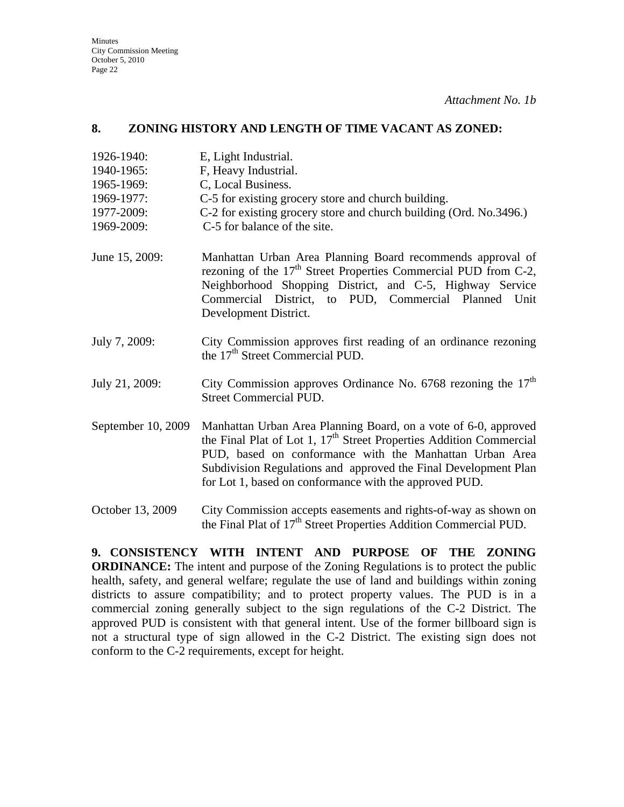**Minutes** City Commission Meeting October 5, 2010 Page 22

*Attachment No. 1b* 

#### **8. ZONING HISTORY AND LENGTH OF TIME VACANT AS ZONED:**

- 1926-1940: E, Light Industrial.
- 1940-1965: F, Heavy Industrial.
- 1965-1969: C, Local Business.
- 1969-1977: C-5 for existing grocery store and church building.
- 1977-2009: C-2 for existing grocery store and church building (Ord. No.3496.)
- 1969-2009: C-5 for balance of the site.
- June 15, 2009: Manhattan Urban Area Planning Board recommends approval of rezoning of the  $17<sup>th</sup>$  Street Properties Commercial PUD from C-2, Neighborhood Shopping District, and C-5, Highway Service Commercial District, to PUD, Commercial Planned Unit Development District.
- July 7, 2009: City Commission approves first reading of an ordinance rezoning the 17<sup>th</sup> Street Commercial PUD.
- July 21, 2009: City Commission approves Ordinance No. 6768 rezoning the  $17<sup>th</sup>$ Street Commercial PUD.
- September 10, 2009 Manhattan Urban Area Planning Board, on a vote of 6-0, approved the Final Plat of Lot 1, 17<sup>th</sup> Street Properties Addition Commercial PUD, based on conformance with the Manhattan Urban Area Subdivision Regulations and approved the Final Development Plan for Lot 1, based on conformance with the approved PUD.

October 13, 2009 City Commission accepts easements and rights-of-way as shown on the Final Plat of 17<sup>th</sup> Street Properties Addition Commercial PUD.

**9. CONSISTENCY WITH INTENT AND PURPOSE OF THE ZONING ORDINANCE:** The intent and purpose of the Zoning Regulations is to protect the public health, safety, and general welfare; regulate the use of land and buildings within zoning districts to assure compatibility; and to protect property values. The PUD is in a commercial zoning generally subject to the sign regulations of the C-2 District. The approved PUD is consistent with that general intent. Use of the former billboard sign is not a structural type of sign allowed in the C-2 District. The existing sign does not conform to the C-2 requirements, except for height.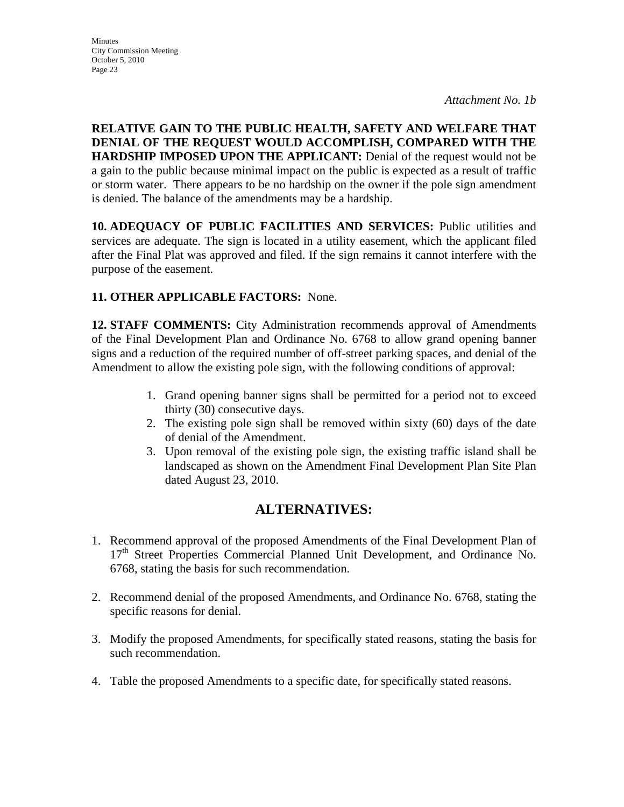**RELATIVE GAIN TO THE PUBLIC HEALTH, SAFETY AND WELFARE THAT DENIAL OF THE REQUEST WOULD ACCOMPLISH, COMPARED WITH THE HARDSHIP IMPOSED UPON THE APPLICANT:** Denial of the request would not be a gain to the public because minimal impact on the public is expected as a result of traffic or storm water. There appears to be no hardship on the owner if the pole sign amendment is denied. The balance of the amendments may be a hardship.

**10. ADEQUACY OF PUBLIC FACILITIES AND SERVICES:** Public utilities and services are adequate. The sign is located in a utility easement, which the applicant filed after the Final Plat was approved and filed. If the sign remains it cannot interfere with the purpose of the easement.

# **11. OTHER APPLICABLE FACTORS:** None.

**12. STAFF COMMENTS:** City Administration recommends approval of Amendments of the Final Development Plan and Ordinance No. 6768 to allow grand opening banner signs and a reduction of the required number of off-street parking spaces, and denial of the Amendment to allow the existing pole sign, with the following conditions of approval:

- 1. Grand opening banner signs shall be permitted for a period not to exceed thirty (30) consecutive days.
- 2. The existing pole sign shall be removed within sixty (60) days of the date of denial of the Amendment.
- 3. Upon removal of the existing pole sign, the existing traffic island shall be landscaped as shown on the Amendment Final Development Plan Site Plan dated August 23, 2010.

# **ALTERNATIVES:**

- 1. Recommend approval of the proposed Amendments of the Final Development Plan of 17<sup>th</sup> Street Properties Commercial Planned Unit Development, and Ordinance No. 6768, stating the basis for such recommendation.
- 2. Recommend denial of the proposed Amendments, and Ordinance No. 6768, stating the specific reasons for denial.
- 3. Modify the proposed Amendments, for specifically stated reasons, stating the basis for such recommendation.
- 4. Table the proposed Amendments to a specific date, for specifically stated reasons.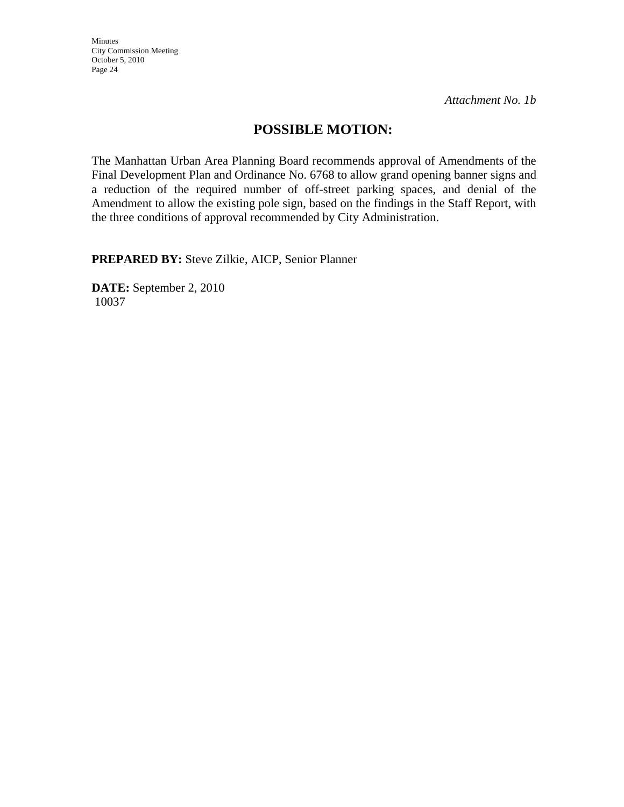Minutes City Commission Meeting October 5, 2010 Page 24

*Attachment No. 1b* 

# **POSSIBLE MOTION:**

The Manhattan Urban Area Planning Board recommends approval of Amendments of the Final Development Plan and Ordinance No. 6768 to allow grand opening banner signs and a reduction of the required number of off-street parking spaces, and denial of the Amendment to allow the existing pole sign, based on the findings in the Staff Report, with the three conditions of approval recommended by City Administration.

**PREPARED BY:** Steve Zilkie, AICP, Senior Planner

**DATE:** September 2, 2010 10037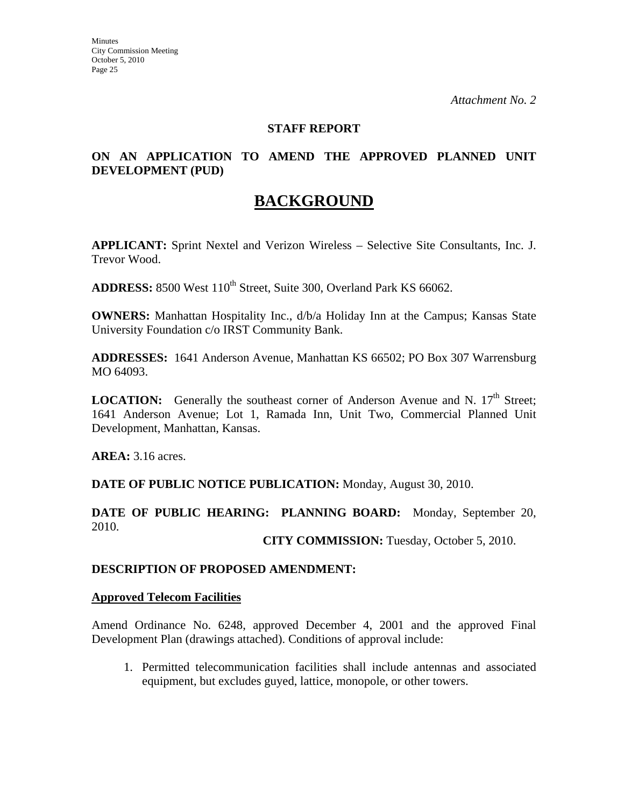#### **STAFF REPORT**

## **ON AN APPLICATION TO AMEND THE APPROVED PLANNED UNIT DEVELOPMENT (PUD)**

# **BACKGROUND**

**APPLICANT:** Sprint Nextel and Verizon Wireless – Selective Site Consultants, Inc. J. Trevor Wood.

**ADDRESS:** 8500 West 110<sup>th</sup> Street, Suite 300, Overland Park KS 66062.

**OWNERS:** Manhattan Hospitality Inc.,  $d/b/a$  Holiday Inn at the Campus; Kansas State University Foundation c/o IRST Community Bank.

**ADDRESSES:** 1641 Anderson Avenue, Manhattan KS 66502; PO Box 307 Warrensburg MO 64093.

**LOCATION:** Generally the southeast corner of Anderson Avenue and N. 17<sup>th</sup> Street; 1641 Anderson Avenue; Lot 1, Ramada Inn, Unit Two, Commercial Planned Unit Development, Manhattan, Kansas.

**AREA:** 3.16 acres.

**DATE OF PUBLIC NOTICE PUBLICATION:** Monday, August 30, 2010.

**DATE OF PUBLIC HEARING: PLANNING BOARD:** Monday, September 20, 2010.

**CITY COMMISSION:** Tuesday, October 5, 2010.

#### **DESCRIPTION OF PROPOSED AMENDMENT:**

#### **Approved Telecom Facilities**

Amend Ordinance No. 6248, approved December 4, 2001 and the approved Final Development Plan (drawings attached). Conditions of approval include:

1. Permitted telecommunication facilities shall include antennas and associated equipment, but excludes guyed, lattice, monopole, or other towers.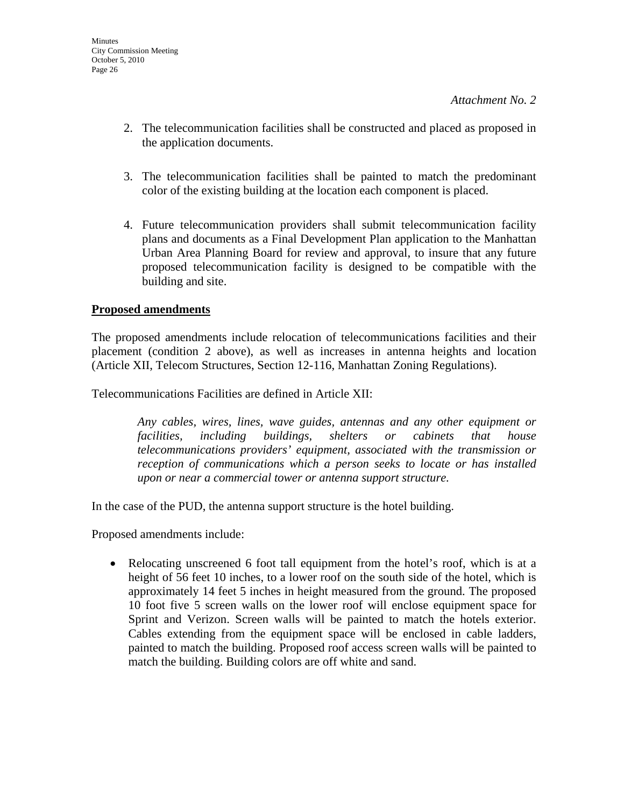- 2. The telecommunication facilities shall be constructed and placed as proposed in the application documents.
- 3. The telecommunication facilities shall be painted to match the predominant color of the existing building at the location each component is placed.
- 4. Future telecommunication providers shall submit telecommunication facility plans and documents as a Final Development Plan application to the Manhattan Urban Area Planning Board for review and approval, to insure that any future proposed telecommunication facility is designed to be compatible with the building and site.

## **Proposed amendments**

The proposed amendments include relocation of telecommunications facilities and their placement (condition 2 above), as well as increases in antenna heights and location (Article XII, Telecom Structures, Section 12-116, Manhattan Zoning Regulations).

Telecommunications Facilities are defined in Article XII:

*Any cables, wires, lines, wave guides, antennas and any other equipment or facilities, including buildings, shelters or cabinets that house telecommunications providers' equipment, associated with the transmission or reception of communications which a person seeks to locate or has installed upon or near a commercial tower or antenna support structure.* 

In the case of the PUD, the antenna support structure is the hotel building.

Proposed amendments include:

• Relocating unscreened 6 foot tall equipment from the hotel's roof, which is at a height of 56 feet 10 inches, to a lower roof on the south side of the hotel, which is approximately 14 feet 5 inches in height measured from the ground. The proposed 10 foot five 5 screen walls on the lower roof will enclose equipment space for Sprint and Verizon. Screen walls will be painted to match the hotels exterior. Cables extending from the equipment space will be enclosed in cable ladders, painted to match the building. Proposed roof access screen walls will be painted to match the building. Building colors are off white and sand.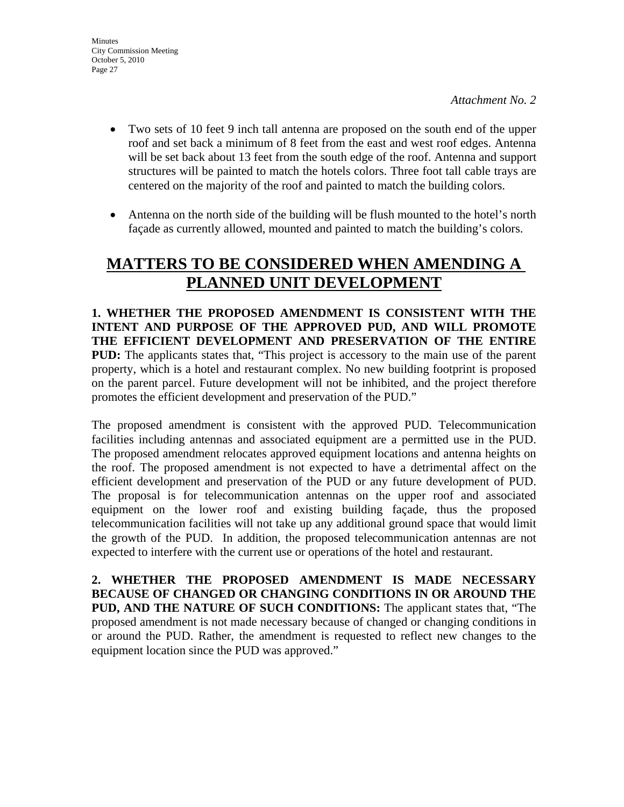- Two sets of 10 feet 9 inch tall antenna are proposed on the south end of the upper roof and set back a minimum of 8 feet from the east and west roof edges. Antenna will be set back about 13 feet from the south edge of the roof. Antenna and support structures will be painted to match the hotels colors. Three foot tall cable trays are centered on the majority of the roof and painted to match the building colors.
- Antenna on the north side of the building will be flush mounted to the hotel's north façade as currently allowed, mounted and painted to match the building's colors.

# **MATTERS TO BE CONSIDERED WHEN AMENDING A PLANNED UNIT DEVELOPMENT**

**1. WHETHER THE PROPOSED AMENDMENT IS CONSISTENT WITH THE INTENT AND PURPOSE OF THE APPROVED PUD, AND WILL PROMOTE THE EFFICIENT DEVELOPMENT AND PRESERVATION OF THE ENTIRE PUD:** The applicants states that, "This project is accessory to the main use of the parent property, which is a hotel and restaurant complex. No new building footprint is proposed on the parent parcel. Future development will not be inhibited, and the project therefore promotes the efficient development and preservation of the PUD."

The proposed amendment is consistent with the approved PUD. Telecommunication facilities including antennas and associated equipment are a permitted use in the PUD. The proposed amendment relocates approved equipment locations and antenna heights on the roof. The proposed amendment is not expected to have a detrimental affect on the efficient development and preservation of the PUD or any future development of PUD. The proposal is for telecommunication antennas on the upper roof and associated equipment on the lower roof and existing building façade, thus the proposed telecommunication facilities will not take up any additional ground space that would limit the growth of the PUD. In addition, the proposed telecommunication antennas are not expected to interfere with the current use or operations of the hotel and restaurant.

**2. WHETHER THE PROPOSED AMENDMENT IS MADE NECESSARY BECAUSE OF CHANGED OR CHANGING CONDITIONS IN OR AROUND THE PUD, AND THE NATURE OF SUCH CONDITIONS:** The applicant states that, "The proposed amendment is not made necessary because of changed or changing conditions in or around the PUD. Rather, the amendment is requested to reflect new changes to the equipment location since the PUD was approved."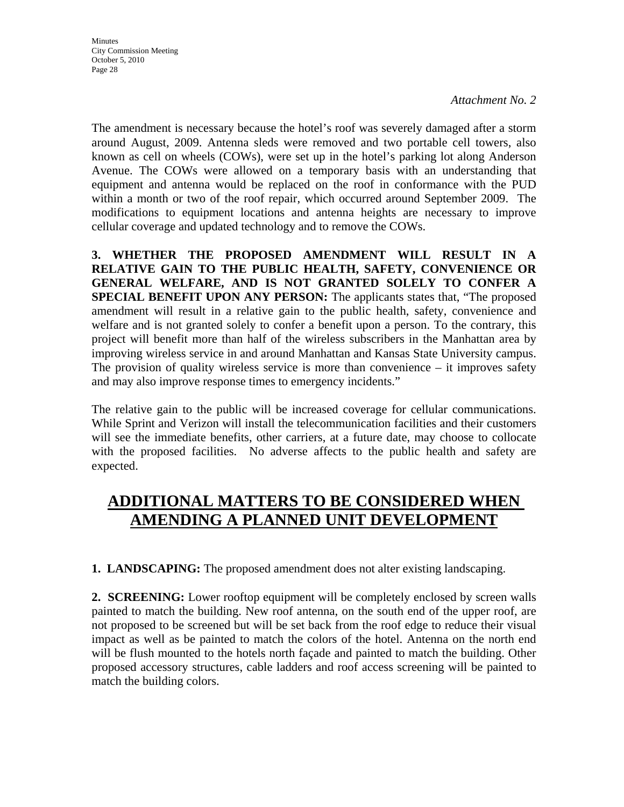The amendment is necessary because the hotel's roof was severely damaged after a storm around August, 2009. Antenna sleds were removed and two portable cell towers, also known as cell on wheels (COWs), were set up in the hotel's parking lot along Anderson Avenue. The COWs were allowed on a temporary basis with an understanding that equipment and antenna would be replaced on the roof in conformance with the PUD within a month or two of the roof repair, which occurred around September 2009. The modifications to equipment locations and antenna heights are necessary to improve cellular coverage and updated technology and to remove the COWs.

**3. WHETHER THE PROPOSED AMENDMENT WILL RESULT IN A RELATIVE GAIN TO THE PUBLIC HEALTH, SAFETY, CONVENIENCE OR GENERAL WELFARE, AND IS NOT GRANTED SOLELY TO CONFER A SPECIAL BENEFIT UPON ANY PERSON:** The applicants states that, "The proposed amendment will result in a relative gain to the public health, safety, convenience and welfare and is not granted solely to confer a benefit upon a person. To the contrary, this project will benefit more than half of the wireless subscribers in the Manhattan area by improving wireless service in and around Manhattan and Kansas State University campus. The provision of quality wireless service is more than convenience – it improves safety and may also improve response times to emergency incidents."

The relative gain to the public will be increased coverage for cellular communications. While Sprint and Verizon will install the telecommunication facilities and their customers will see the immediate benefits, other carriers, at a future date, may choose to collocate with the proposed facilities. No adverse affects to the public health and safety are expected.

# **ADDITIONAL MATTERS TO BE CONSIDERED WHEN AMENDING A PLANNED UNIT DEVELOPMENT**

**1. LANDSCAPING:** The proposed amendment does not alter existing landscaping.

**2. SCREENING:** Lower rooftop equipment will be completely enclosed by screen walls painted to match the building. New roof antenna, on the south end of the upper roof, are not proposed to be screened but will be set back from the roof edge to reduce their visual impact as well as be painted to match the colors of the hotel. Antenna on the north end will be flush mounted to the hotels north façade and painted to match the building. Other proposed accessory structures, cable ladders and roof access screening will be painted to match the building colors.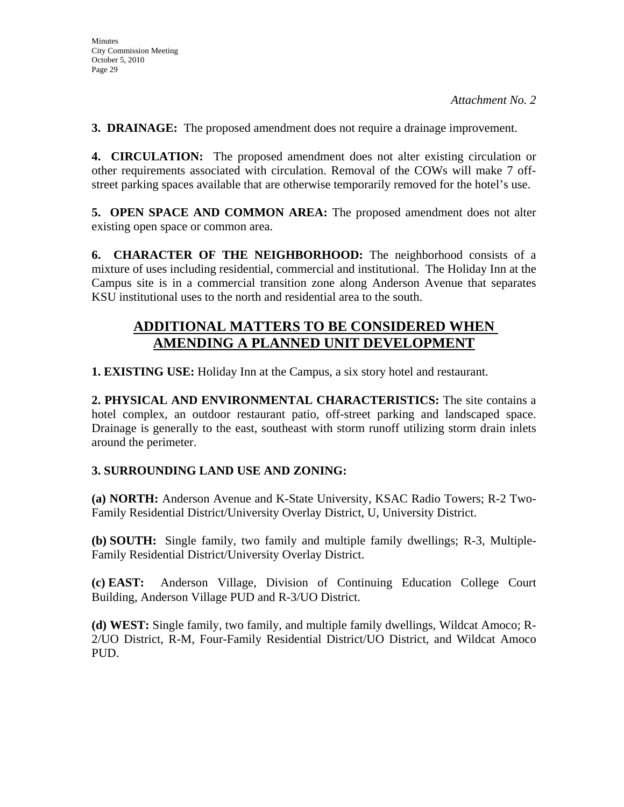**3. DRAINAGE:** The proposed amendment does not require a drainage improvement.

**4. CIRCULATION:** The proposed amendment does not alter existing circulation or other requirements associated with circulation. Removal of the COWs will make 7 offstreet parking spaces available that are otherwise temporarily removed for the hotel's use.

**5. OPEN SPACE AND COMMON AREA:** The proposed amendment does not alter existing open space or common area.

**6. CHARACTER OF THE NEIGHBORHOOD:** The neighborhood consists of a mixture of uses including residential, commercial and institutional. The Holiday Inn at the Campus site is in a commercial transition zone along Anderson Avenue that separates KSU institutional uses to the north and residential area to the south.

# **ADDITIONAL MATTERS TO BE CONSIDERED WHEN AMENDING A PLANNED UNIT DEVELOPMENT**

**1. EXISTING USE:** Holiday Inn at the Campus, a six story hotel and restaurant.

**2. PHYSICAL AND ENVIRONMENTAL CHARACTERISTICS:** The site contains a hotel complex, an outdoor restaurant patio, off-street parking and landscaped space. Drainage is generally to the east, southeast with storm runoff utilizing storm drain inlets around the perimeter.

## **3. SURROUNDING LAND USE AND ZONING:**

**(a) NORTH:** Anderson Avenue and K-State University, KSAC Radio Towers; R-2 Two-Family Residential District/University Overlay District, U, University District.

**(b) SOUTH:** Single family, two family and multiple family dwellings; R-3, Multiple-Family Residential District/University Overlay District.

**(c) EAST:** Anderson Village, Division of Continuing Education College Court Building, Anderson Village PUD and R-3/UO District.

**(d) WEST:** Single family, two family, and multiple family dwellings, Wildcat Amoco; R-2/UO District, R-M, Four-Family Residential District/UO District, and Wildcat Amoco PUD.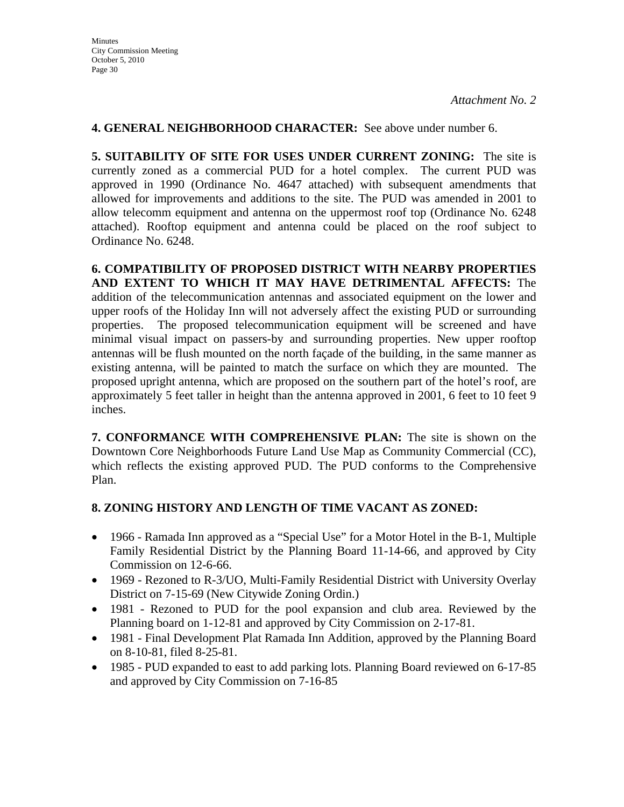### **4. GENERAL NEIGHBORHOOD CHARACTER:** See above under number 6.

**5. SUITABILITY OF SITE FOR USES UNDER CURRENT ZONING:** The site is currently zoned as a commercial PUD for a hotel complex. The current PUD was approved in 1990 (Ordinance No. 4647 attached) with subsequent amendments that allowed for improvements and additions to the site. The PUD was amended in 2001 to allow telecomm equipment and antenna on the uppermost roof top (Ordinance No. 6248 attached). Rooftop equipment and antenna could be placed on the roof subject to Ordinance No. 6248.

**6. COMPATIBILITY OF PROPOSED DISTRICT WITH NEARBY PROPERTIES AND EXTENT TO WHICH IT MAY HAVE DETRIMENTAL AFFECTS:** The addition of the telecommunication antennas and associated equipment on the lower and upper roofs of the Holiday Inn will not adversely affect the existing PUD or surrounding properties. The proposed telecommunication equipment will be screened and have minimal visual impact on passers-by and surrounding properties. New upper rooftop antennas will be flush mounted on the north façade of the building, in the same manner as existing antenna, will be painted to match the surface on which they are mounted. The proposed upright antenna, which are proposed on the southern part of the hotel's roof, are approximately 5 feet taller in height than the antenna approved in 2001, 6 feet to 10 feet 9 inches.

**7. CONFORMANCE WITH COMPREHENSIVE PLAN:** The site is shown on the Downtown Core Neighborhoods Future Land Use Map as Community Commercial (CC), which reflects the existing approved PUD. The PUD conforms to the Comprehensive Plan.

## **8. ZONING HISTORY AND LENGTH OF TIME VACANT AS ZONED:**

- 1966 Ramada Inn approved as a "Special Use" for a Motor Hotel in the B-1, Multiple Family Residential District by the Planning Board 11-14-66, and approved by City Commission on 12-6-66.
- 1969 Rezoned to R-3/UO, Multi-Family Residential District with University Overlay District on 7-15-69 (New Citywide Zoning Ordin.)
- 1981 Rezoned to PUD for the pool expansion and club area. Reviewed by the Planning board on 1-12-81 and approved by City Commission on 2-17-81.
- 1981 Final Development Plat Ramada Inn Addition, approved by the Planning Board on 8-10-81, filed 8-25-81.
- 1985 PUD expanded to east to add parking lots. Planning Board reviewed on 6-17-85 and approved by City Commission on 7-16-85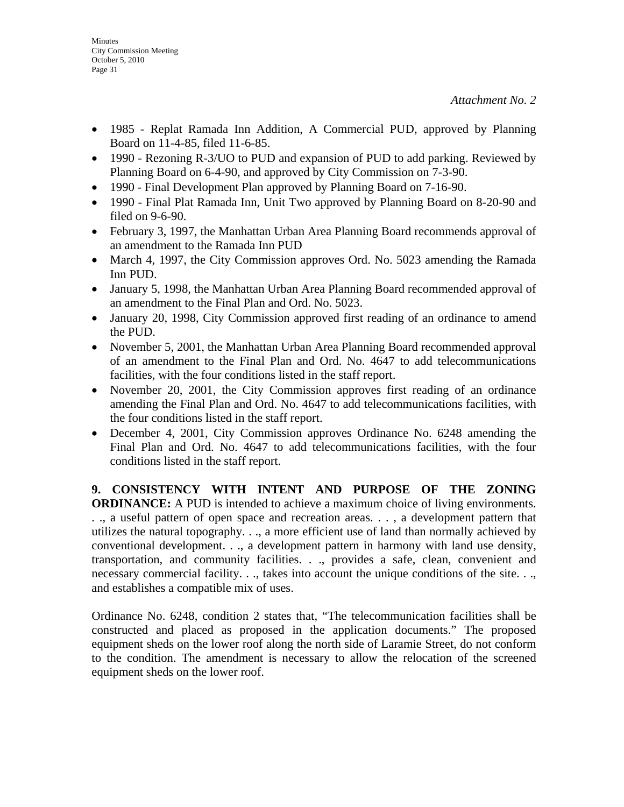- 1985 Replat Ramada Inn Addition, A Commercial PUD, approved by Planning Board on 11-4-85, filed 11-6-85.
- 1990 Rezoning R-3/UO to PUD and expansion of PUD to add parking. Reviewed by Planning Board on 6-4-90, and approved by City Commission on 7-3-90.
- 1990 Final Development Plan approved by Planning Board on 7-16-90.
- 1990 Final Plat Ramada Inn, Unit Two approved by Planning Board on 8-20-90 and filed on 9-6-90.
- February 3, 1997, the Manhattan Urban Area Planning Board recommends approval of an amendment to the Ramada Inn PUD
- March 4, 1997, the City Commission approves Ord. No. 5023 amending the Ramada Inn PUD.
- January 5, 1998, the Manhattan Urban Area Planning Board recommended approval of an amendment to the Final Plan and Ord. No. 5023.
- January 20, 1998, City Commission approved first reading of an ordinance to amend the PUD.
- November 5, 2001, the Manhattan Urban Area Planning Board recommended approval of an amendment to the Final Plan and Ord. No. 4647 to add telecommunications facilities, with the four conditions listed in the staff report.
- November 20, 2001, the City Commission approves first reading of an ordinance amending the Final Plan and Ord. No. 4647 to add telecommunications facilities, with the four conditions listed in the staff report.
- December 4, 2001, City Commission approves Ordinance No. 6248 amending the Final Plan and Ord. No. 4647 to add telecommunications facilities, with the four conditions listed in the staff report.

**9. CONSISTENCY WITH INTENT AND PURPOSE OF THE ZONING ORDINANCE:** A PUD is intended to achieve a maximum choice of living environments. . ., a useful pattern of open space and recreation areas. . . , a development pattern that utilizes the natural topography. . ., a more efficient use of land than normally achieved by conventional development. . ., a development pattern in harmony with land use density, transportation, and community facilities. . ., provides a safe, clean, convenient and necessary commercial facility. . ., takes into account the unique conditions of the site. . ., and establishes a compatible mix of uses.

Ordinance No. 6248, condition 2 states that, "The telecommunication facilities shall be constructed and placed as proposed in the application documents." The proposed equipment sheds on the lower roof along the north side of Laramie Street, do not conform to the condition. The amendment is necessary to allow the relocation of the screened equipment sheds on the lower roof.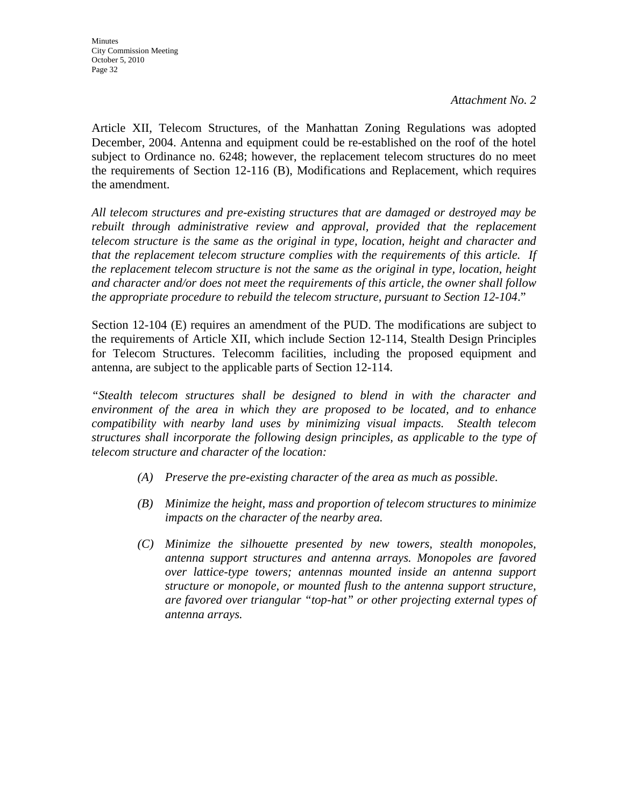Article XII, Telecom Structures, of the Manhattan Zoning Regulations was adopted December, 2004. Antenna and equipment could be re-established on the roof of the hotel subject to Ordinance no. 6248; however, the replacement telecom structures do no meet the requirements of Section 12-116 (B), Modifications and Replacement, which requires the amendment.

*All telecom structures and pre-existing structures that are damaged or destroyed may be*  rebuilt through administrative review and approval, provided that the replacement *telecom structure is the same as the original in type, location, height and character and that the replacement telecom structure complies with the requirements of this article. If the replacement telecom structure is not the same as the original in type, location, height and character and/or does not meet the requirements of this article, the owner shall follow the appropriate procedure to rebuild the telecom structure, pursuant to Section 12-104*."

Section 12-104 (E) requires an amendment of the PUD. The modifications are subject to the requirements of Article XII, which include Section 12-114, Stealth Design Principles for Telecom Structures. Telecomm facilities, including the proposed equipment and antenna, are subject to the applicable parts of Section 12-114.

*"Stealth telecom structures shall be designed to blend in with the character and environment of the area in which they are proposed to be located, and to enhance compatibility with nearby land uses by minimizing visual impacts. Stealth telecom structures shall incorporate the following design principles, as applicable to the type of telecom structure and character of the location:* 

- *(A) Preserve the pre-existing character of the area as much as possible.*
- *(B) Minimize the height, mass and proportion of telecom structures to minimize impacts on the character of the nearby area.*
- *(C) Minimize the silhouette presented by new towers, stealth monopoles, antenna support structures and antenna arrays. Monopoles are favored over lattice-type towers; antennas mounted inside an antenna support structure or monopole, or mounted flush to the antenna support structure, are favored over triangular "top-hat" or other projecting external types of antenna arrays.*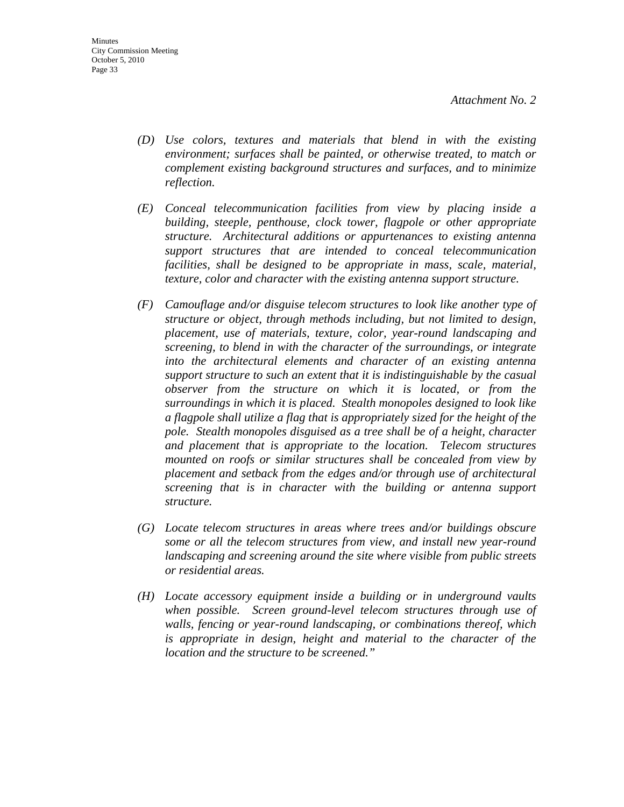- *(D) Use colors, textures and materials that blend in with the existing environment; surfaces shall be painted, or otherwise treated, to match or complement existing background structures and surfaces, and to minimize reflection.*
- *(E) Conceal telecommunication facilities from view by placing inside a building, steeple, penthouse, clock tower, flagpole or other appropriate structure. Architectural additions or appurtenances to existing antenna support structures that are intended to conceal telecommunication facilities, shall be designed to be appropriate in mass, scale, material, texture, color and character with the existing antenna support structure.*
- *(F) Camouflage and/or disguise telecom structures to look like another type of structure or object, through methods including, but not limited to design, placement, use of materials, texture, color, year-round landscaping and screening, to blend in with the character of the surroundings, or integrate into the architectural elements and character of an existing antenna support structure to such an extent that it is indistinguishable by the casual observer from the structure on which it is located, or from the surroundings in which it is placed. Stealth monopoles designed to look like a flagpole shall utilize a flag that is appropriately sized for the height of the pole. Stealth monopoles disguised as a tree shall be of a height, character and placement that is appropriate to the location. Telecom structures mounted on roofs or similar structures shall be concealed from view by placement and setback from the edges and/or through use of architectural screening that is in character with the building or antenna support structure.*
- *(G) Locate telecom structures in areas where trees and/or buildings obscure some or all the telecom structures from view, and install new year-round landscaping and screening around the site where visible from public streets or residential areas.*
- *(H) Locate accessory equipment inside a building or in underground vaults when possible. Screen ground-level telecom structures through use of walls, fencing or year-round landscaping, or combinations thereof, which is appropriate in design, height and material to the character of the location and the structure to be screened."*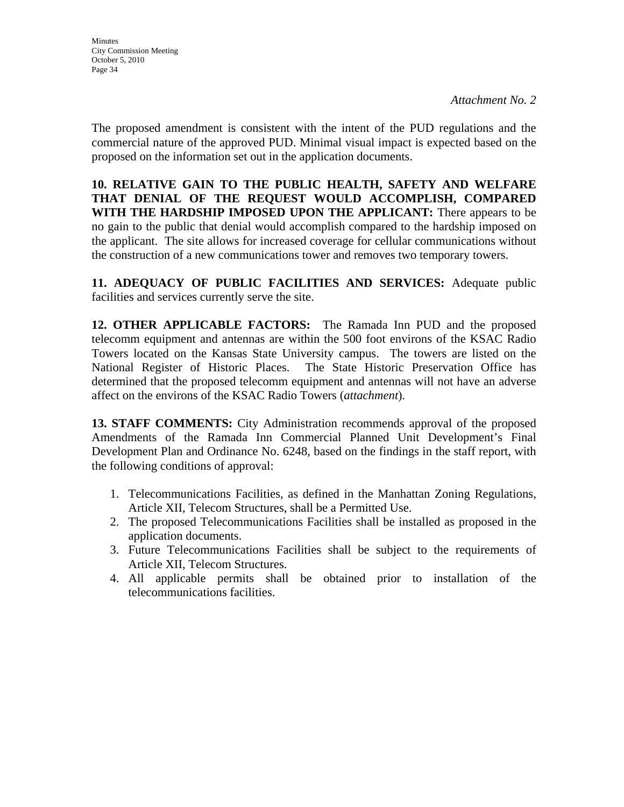The proposed amendment is consistent with the intent of the PUD regulations and the commercial nature of the approved PUD. Minimal visual impact is expected based on the proposed on the information set out in the application documents.

**10. RELATIVE GAIN TO THE PUBLIC HEALTH, SAFETY AND WELFARE THAT DENIAL OF THE REQUEST WOULD ACCOMPLISH, COMPARED WITH THE HARDSHIP IMPOSED UPON THE APPLICANT:** There appears to be no gain to the public that denial would accomplish compared to the hardship imposed on the applicant. The site allows for increased coverage for cellular communications without the construction of a new communications tower and removes two temporary towers.

**11. ADEQUACY OF PUBLIC FACILITIES AND SERVICES:** Adequate public facilities and services currently serve the site.

**12. OTHER APPLICABLE FACTORS:** The Ramada Inn PUD and the proposed telecomm equipment and antennas are within the 500 foot environs of the KSAC Radio Towers located on the Kansas State University campus. The towers are listed on the National Register of Historic Places. The State Historic Preservation Office has determined that the proposed telecomm equipment and antennas will not have an adverse affect on the environs of the KSAC Radio Towers (*attachment*)*.* 

**13. STAFF COMMENTS:** City Administration recommends approval of the proposed Amendments of the Ramada Inn Commercial Planned Unit Development's Final Development Plan and Ordinance No. 6248, based on the findings in the staff report, with the following conditions of approval:

- 1. Telecommunications Facilities, as defined in the Manhattan Zoning Regulations, Article XII, Telecom Structures, shall be a Permitted Use.
- 2. The proposed Telecommunications Facilities shall be installed as proposed in the application documents.
- 3. Future Telecommunications Facilities shall be subject to the requirements of Article XII, Telecom Structures.
- 4. All applicable permits shall be obtained prior to installation of the telecommunications facilities.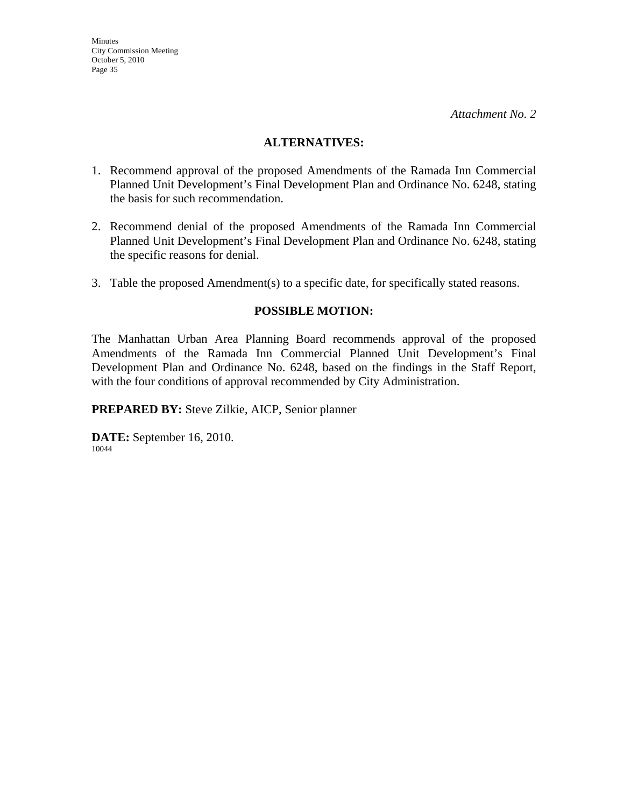#### **ALTERNATIVES:**

- 1. Recommend approval of the proposed Amendments of the Ramada Inn Commercial Planned Unit Development's Final Development Plan and Ordinance No. 6248, stating the basis for such recommendation.
- 2. Recommend denial of the proposed Amendments of the Ramada Inn Commercial Planned Unit Development's Final Development Plan and Ordinance No. 6248, stating the specific reasons for denial.
- 3. Table the proposed Amendment(s) to a specific date, for specifically stated reasons.

## **POSSIBLE MOTION:**

The Manhattan Urban Area Planning Board recommends approval of the proposed Amendments of the Ramada Inn Commercial Planned Unit Development's Final Development Plan and Ordinance No. 6248, based on the findings in the Staff Report, with the four conditions of approval recommended by City Administration.

**PREPARED BY:** Steve Zilkie, AICP, Senior planner

**DATE:** September 16, 2010. 10044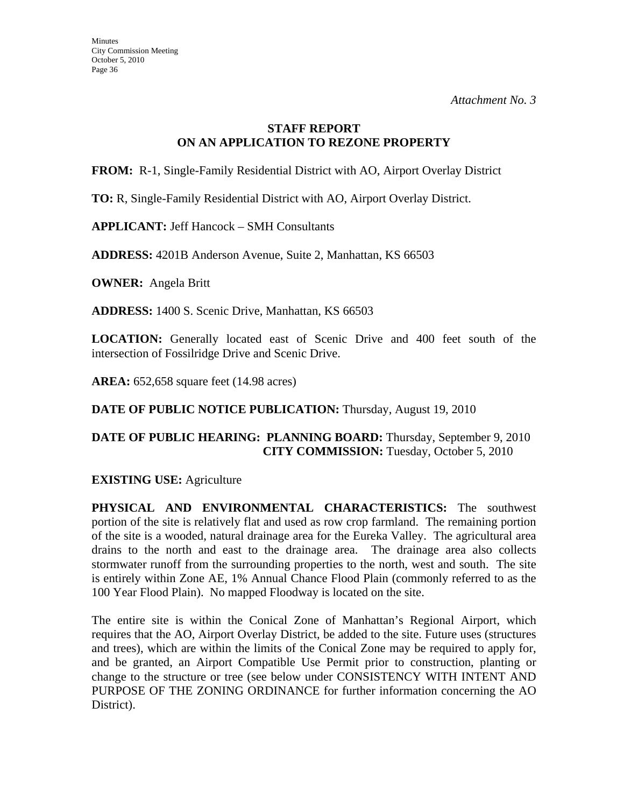## **STAFF REPORT ON AN APPLICATION TO REZONE PROPERTY**

**FROM:** R-1, Single-Family Residential District with AO, Airport Overlay District

**TO:** R, Single-Family Residential District with AO, Airport Overlay District.

**APPLICANT:** Jeff Hancock – SMH Consultants

**ADDRESS:** 4201B Anderson Avenue, Suite 2, Manhattan, KS 66503

**OWNER:** Angela Britt

**ADDRESS:** 1400 S. Scenic Drive, Manhattan, KS 66503

**LOCATION:** Generally located east of Scenic Drive and 400 feet south of the intersection of Fossilridge Drive and Scenic Drive.

**AREA:** 652,658 square feet (14.98 acres)

**DATE OF PUBLIC NOTICE PUBLICATION:** Thursday, August 19, 2010

## **DATE OF PUBLIC HEARING: PLANNING BOARD:** Thursday, September 9, 2010 **CITY COMMISSION:** Tuesday, October 5, 2010

## **EXISTING USE:** Agriculture

**PHYSICAL AND ENVIRONMENTAL CHARACTERISTICS:** The southwest portion of the site is relatively flat and used as row crop farmland. The remaining portion of the site is a wooded, natural drainage area for the Eureka Valley. The agricultural area drains to the north and east to the drainage area. The drainage area also collects stormwater runoff from the surrounding properties to the north, west and south. The site is entirely within Zone AE, 1% Annual Chance Flood Plain (commonly referred to as the 100 Year Flood Plain). No mapped Floodway is located on the site.

The entire site is within the Conical Zone of Manhattan's Regional Airport, which requires that the AO, Airport Overlay District, be added to the site. Future uses (structures and trees), which are within the limits of the Conical Zone may be required to apply for, and be granted, an Airport Compatible Use Permit prior to construction, planting or change to the structure or tree (see below under CONSISTENCY WITH INTENT AND PURPOSE OF THE ZONING ORDINANCE for further information concerning the AO District).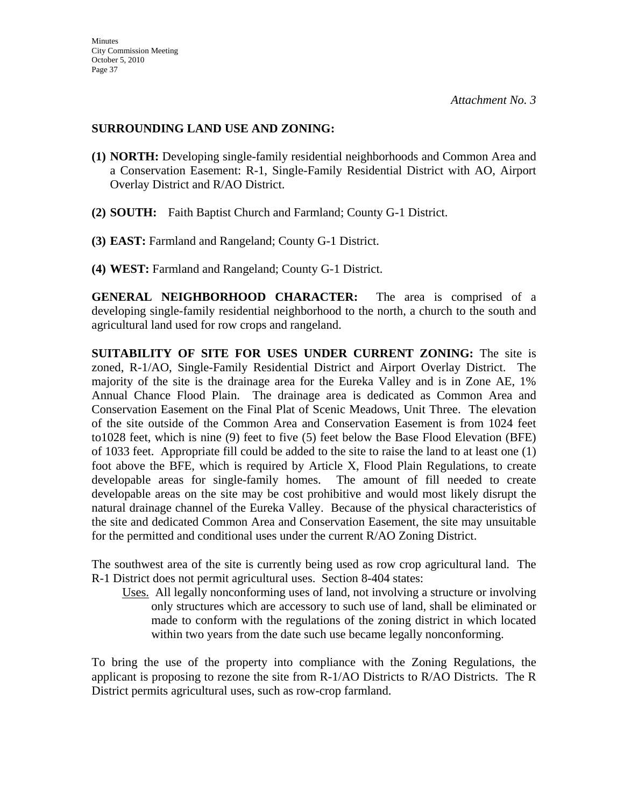## **SURROUNDING LAND USE AND ZONING:**

- **(1) NORTH:** Developing single-family residential neighborhoods and Common Area and a Conservation Easement: R-1, Single-Family Residential District with AO, Airport Overlay District and R/AO District.
- **(2) SOUTH:** Faith Baptist Church and Farmland; County G-1 District.
- **(3) EAST:** Farmland and Rangeland; County G-1 District.
- **(4) WEST:** Farmland and Rangeland; County G-1 District.

**GENERAL NEIGHBORHOOD CHARACTER:** The area is comprised of a developing single-family residential neighborhood to the north, a church to the south and agricultural land used for row crops and rangeland.

**SUITABILITY OF SITE FOR USES UNDER CURRENT ZONING:** The site is zoned, R-1/AO, Single-Family Residential District and Airport Overlay District. The majority of the site is the drainage area for the Eureka Valley and is in Zone AE, 1% Annual Chance Flood Plain. The drainage area is dedicated as Common Area and Conservation Easement on the Final Plat of Scenic Meadows, Unit Three. The elevation of the site outside of the Common Area and Conservation Easement is from 1024 feet to1028 feet, which is nine (9) feet to five (5) feet below the Base Flood Elevation (BFE) of 1033 feet. Appropriate fill could be added to the site to raise the land to at least one (1) foot above the BFE, which is required by Article X, Flood Plain Regulations, to create developable areas for single-family homes. The amount of fill needed to create developable areas on the site may be cost prohibitive and would most likely disrupt the natural drainage channel of the Eureka Valley. Because of the physical characteristics of the site and dedicated Common Area and Conservation Easement, the site may unsuitable for the permitted and conditional uses under the current R/AO Zoning District.

The southwest area of the site is currently being used as row crop agricultural land. The R-1 District does not permit agricultural uses. Section 8-404 states:

 Uses. All legally nonconforming uses of land, not involving a structure or involving only structures which are accessory to such use of land, shall be eliminated or made to conform with the regulations of the zoning district in which located within two years from the date such use became legally nonconforming.

To bring the use of the property into compliance with the Zoning Regulations, the applicant is proposing to rezone the site from  $R-1/AO$  Districts to  $R/AO$  Districts. The R District permits agricultural uses, such as row-crop farmland.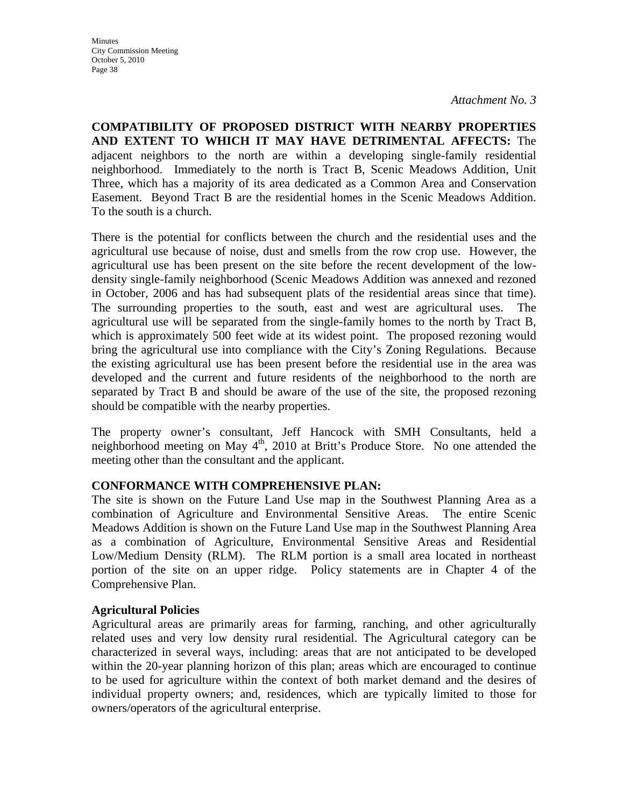**COMPATIBILITY OF PROPOSED DISTRICT WITH NEARBY PROPERTIES AND EXTENT TO WHICH IT MAY HAVE DETRIMENTAL AFFECTS:** The adjacent neighbors to the north are within a developing single-family residential neighborhood. Immediately to the north is Tract B, Scenic Meadows Addition, Unit Three, which has a majority of its area dedicated as a Common Area and Conservation Easement. Beyond Tract B are the residential homes in the Scenic Meadows Addition. To the south is a church.

There is the potential for conflicts between the church and the residential uses and the agricultural use because of noise, dust and smells from the row crop use. However, the agricultural use has been present on the site before the recent development of the lowdensity single-family neighborhood (Scenic Meadows Addition was annexed and rezoned in October, 2006 and has had subsequent plats of the residential areas since that time). The surrounding properties to the south, east and west are agricultural uses. The agricultural use will be separated from the single-family homes to the north by Tract B, which is approximately 500 feet wide at its widest point. The proposed rezoning would bring the agricultural use into compliance with the City's Zoning Regulations. Because the existing agricultural use has been present before the residential use in the area was developed and the current and future residents of the neighborhood to the north are separated by Tract B and should be aware of the use of the site, the proposed rezoning should be compatible with the nearby properties.

The property owner's consultant, Jeff Hancock with SMH Consultants, held a neighborhood meeting on May  $4<sup>th</sup>$ , 2010 at Britt's Produce Store. No one attended the meeting other than the consultant and the applicant.

## **CONFORMANCE WITH COMPREHENSIVE PLAN:**

The site is shown on the Future Land Use map in the Southwest Planning Area as a combination of Agriculture and Environmental Sensitive Areas. The entire Scenic Meadows Addition is shown on the Future Land Use map in the Southwest Planning Area as a combination of Agriculture, Environmental Sensitive Areas and Residential Low/Medium Density (RLM). The RLM portion is a small area located in northeast portion of the site on an upper ridge. Policy statements are in Chapter 4 of the Comprehensive Plan.

## **Agricultural Policies**

Agricultural areas are primarily areas for farming, ranching, and other agriculturally related uses and very low density rural residential. The Agricultural category can be characterized in several ways, including: areas that are not anticipated to be developed within the 20-year planning horizon of this plan; areas which are encouraged to continue to be used for agriculture within the context of both market demand and the desires of individual property owners; and, residences, which are typically limited to those for owners/operators of the agricultural enterprise.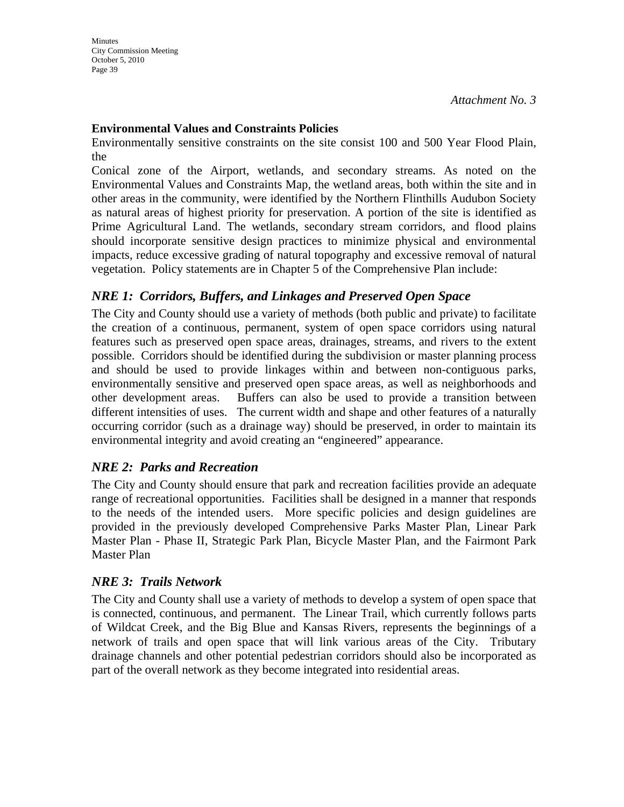## **Environmental Values and Constraints Policies**

Environmentally sensitive constraints on the site consist 100 and 500 Year Flood Plain, the

Conical zone of the Airport, wetlands, and secondary streams. As noted on the Environmental Values and Constraints Map, the wetland areas, both within the site and in other areas in the community, were identified by the Northern Flinthills Audubon Society as natural areas of highest priority for preservation. A portion of the site is identified as Prime Agricultural Land. The wetlands, secondary stream corridors, and flood plains should incorporate sensitive design practices to minimize physical and environmental impacts, reduce excessive grading of natural topography and excessive removal of natural vegetation. Policy statements are in Chapter 5 of the Comprehensive Plan include:

# *NRE 1: Corridors, Buffers, and Linkages and Preserved Open Space*

The City and County should use a variety of methods (both public and private) to facilitate the creation of a continuous, permanent, system of open space corridors using natural features such as preserved open space areas, drainages, streams, and rivers to the extent possible. Corridors should be identified during the subdivision or master planning process and should be used to provide linkages within and between non-contiguous parks, environmentally sensitive and preserved open space areas, as well as neighborhoods and other development areas. Buffers can also be used to provide a transition between different intensities of uses. The current width and shape and other features of a naturally occurring corridor (such as a drainage way) should be preserved, in order to maintain its environmental integrity and avoid creating an "engineered" appearance.

# *NRE 2: Parks and Recreation*

The City and County should ensure that park and recreation facilities provide an adequate range of recreational opportunities. Facilities shall be designed in a manner that responds to the needs of the intended users. More specific policies and design guidelines are provided in the previously developed Comprehensive Parks Master Plan, Linear Park Master Plan - Phase II, Strategic Park Plan, Bicycle Master Plan, and the Fairmont Park Master Plan

## *NRE 3: Trails Network*

The City and County shall use a variety of methods to develop a system of open space that is connected, continuous, and permanent. The Linear Trail, which currently follows parts of Wildcat Creek, and the Big Blue and Kansas Rivers, represents the beginnings of a network of trails and open space that will link various areas of the City. Tributary drainage channels and other potential pedestrian corridors should also be incorporated as part of the overall network as they become integrated into residential areas.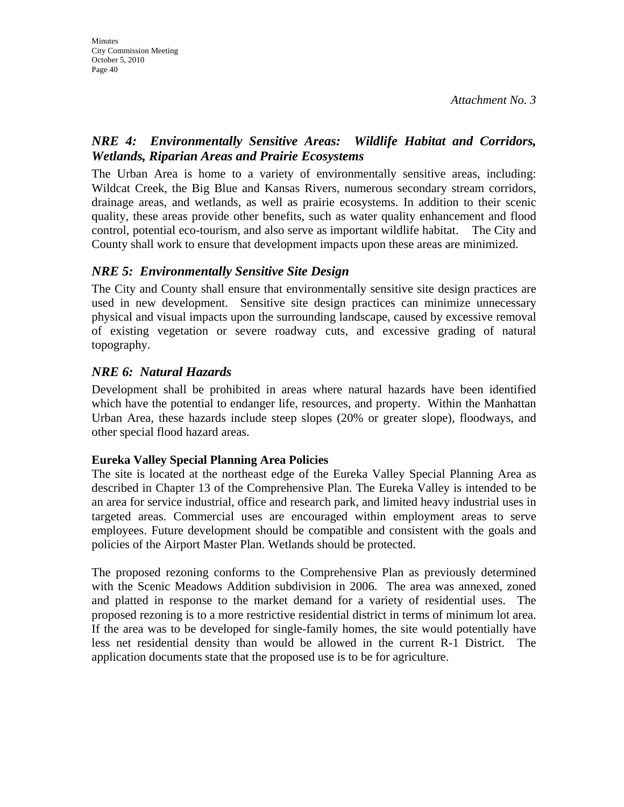# *NRE 4: Environmentally Sensitive Areas: Wildlife Habitat and Corridors, Wetlands, Riparian Areas and Prairie Ecosystems*

The Urban Area is home to a variety of environmentally sensitive areas, including: Wildcat Creek, the Big Blue and Kansas Rivers, numerous secondary stream corridors, drainage areas, and wetlands, as well as prairie ecosystems. In addition to their scenic quality, these areas provide other benefits, such as water quality enhancement and flood control, potential eco-tourism, and also serve as important wildlife habitat. The City and County shall work to ensure that development impacts upon these areas are minimized.

# *NRE 5: Environmentally Sensitive Site Design*

The City and County shall ensure that environmentally sensitive site design practices are used in new development. Sensitive site design practices can minimize unnecessary physical and visual impacts upon the surrounding landscape, caused by excessive removal of existing vegetation or severe roadway cuts, and excessive grading of natural topography.

# *NRE 6: Natural Hazards*

Development shall be prohibited in areas where natural hazards have been identified which have the potential to endanger life, resources, and property. Within the Manhattan Urban Area, these hazards include steep slopes (20% or greater slope), floodways, and other special flood hazard areas.

## **Eureka Valley Special Planning Area Policies**

The site is located at the northeast edge of the Eureka Valley Special Planning Area as described in Chapter 13 of the Comprehensive Plan. The Eureka Valley is intended to be an area for service industrial, office and research park, and limited heavy industrial uses in targeted areas. Commercial uses are encouraged within employment areas to serve employees. Future development should be compatible and consistent with the goals and policies of the Airport Master Plan. Wetlands should be protected.

The proposed rezoning conforms to the Comprehensive Plan as previously determined with the Scenic Meadows Addition subdivision in 2006. The area was annexed, zoned and platted in response to the market demand for a variety of residential uses. The proposed rezoning is to a more restrictive residential district in terms of minimum lot area. If the area was to be developed for single-family homes, the site would potentially have less net residential density than would be allowed in the current R-1 District. The application documents state that the proposed use is to be for agriculture.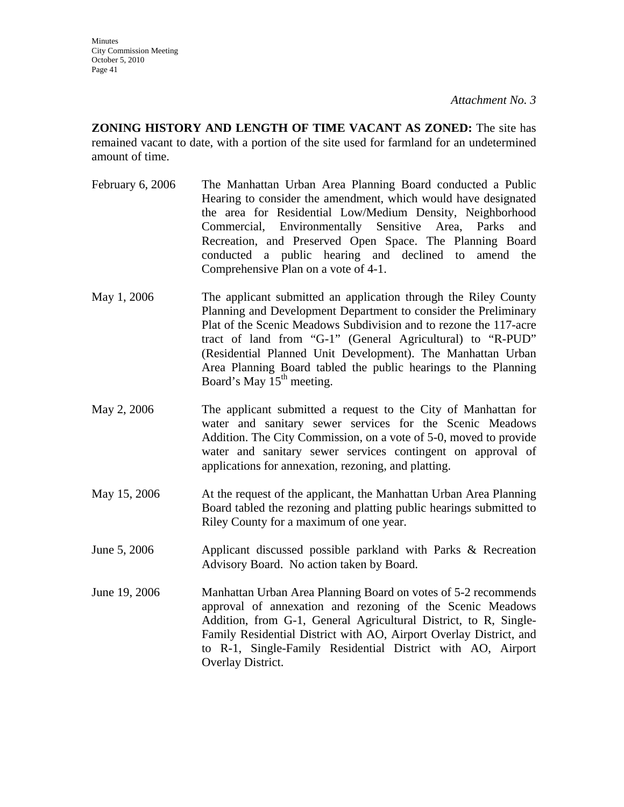**ZONING HISTORY AND LENGTH OF TIME VACANT AS ZONED:** The site has remained vacant to date, with a portion of the site used for farmland for an undetermined amount of time.

- February 6, 2006 The Manhattan Urban Area Planning Board conducted a Public Hearing to consider the amendment, which would have designated the area for Residential Low/Medium Density, Neighborhood Commercial, Environmentally Sensitive Area, Parks and Recreation, and Preserved Open Space. The Planning Board conducted a public hearing and declined to amend the Comprehensive Plan on a vote of 4-1.
- May 1, 2006 The applicant submitted an application through the Riley County Planning and Development Department to consider the Preliminary Plat of the Scenic Meadows Subdivision and to rezone the 117-acre tract of land from "G-1" (General Agricultural) to "R-PUD" (Residential Planned Unit Development). The Manhattan Urban Area Planning Board tabled the public hearings to the Planning Board's May  $15<sup>th</sup>$  meeting.
- May 2, 2006 The applicant submitted a request to the City of Manhattan for water and sanitary sewer services for the Scenic Meadows Addition. The City Commission, on a vote of 5-0, moved to provide water and sanitary sewer services contingent on approval of applications for annexation, rezoning, and platting.
- May 15, 2006 At the request of the applicant, the Manhattan Urban Area Planning Board tabled the rezoning and platting public hearings submitted to Riley County for a maximum of one year.
- June 5, 2006 Applicant discussed possible parkland with Parks & Recreation Advisory Board. No action taken by Board.
- June 19, 2006 Manhattan Urban Area Planning Board on votes of 5-2 recommends approval of annexation and rezoning of the Scenic Meadows Addition, from G-1, General Agricultural District, to R, Single-Family Residential District with AO, Airport Overlay District, and to R-1, Single-Family Residential District with AO, Airport Overlay District.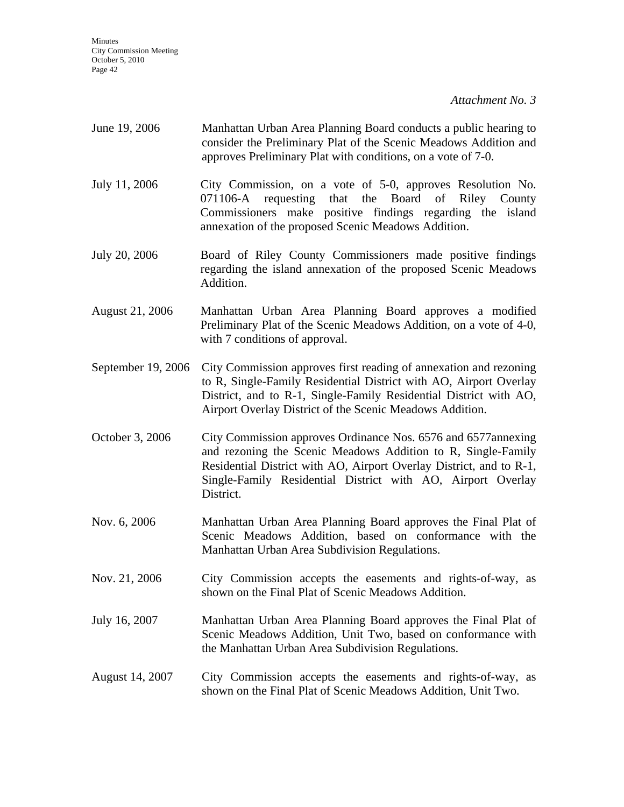| June 19, 2006          | Manhattan Urban Area Planning Board conducts a public hearing to<br>consider the Preliminary Plat of the Scenic Meadows Addition and<br>approves Preliminary Plat with conditions, on a vote of 7-0.                                                                              |
|------------------------|-----------------------------------------------------------------------------------------------------------------------------------------------------------------------------------------------------------------------------------------------------------------------------------|
| July 11, 2006          | City Commission, on a vote of 5-0, approves Resolution No.<br>071106-A requesting that the Board<br>of<br>Riley<br>County<br>Commissioners make positive findings regarding the island<br>annexation of the proposed Scenic Meadows Addition.                                     |
| July 20, 2006          | Board of Riley County Commissioners made positive findings<br>regarding the island annexation of the proposed Scenic Meadows<br>Addition.                                                                                                                                         |
| <b>August 21, 2006</b> | Manhattan Urban Area Planning Board approves a modified<br>Preliminary Plat of the Scenic Meadows Addition, on a vote of 4-0,<br>with 7 conditions of approval.                                                                                                                   |
| September 19, 2006     | City Commission approves first reading of annexation and rezoning<br>to R, Single-Family Residential District with AO, Airport Overlay<br>District, and to R-1, Single-Family Residential District with AO,<br>Airport Overlay District of the Scenic Meadows Addition.           |
| October 3, 2006        | City Commission approves Ordinance Nos. 6576 and 6577 annexing<br>and rezoning the Scenic Meadows Addition to R, Single-Family<br>Residential District with AO, Airport Overlay District, and to R-1,<br>Single-Family Residential District with AO, Airport Overlay<br>District. |
| Nov. 6, 2006           | Manhattan Urban Area Planning Board approves the Final Plat of<br>Scenic Meadows Addition, based on conformance with the<br>Manhattan Urban Area Subdivision Regulations.                                                                                                         |
| Nov. 21, 2006          | City Commission accepts the easements and rights-of-way, as<br>shown on the Final Plat of Scenic Meadows Addition.                                                                                                                                                                |
| July 16, 2007          | Manhattan Urban Area Planning Board approves the Final Plat of<br>Scenic Meadows Addition, Unit Two, based on conformance with<br>the Manhattan Urban Area Subdivision Regulations.                                                                                               |
| August 14, 2007        | City Commission accepts the easements and rights-of-way, as<br>shown on the Final Plat of Scenic Meadows Addition, Unit Two.                                                                                                                                                      |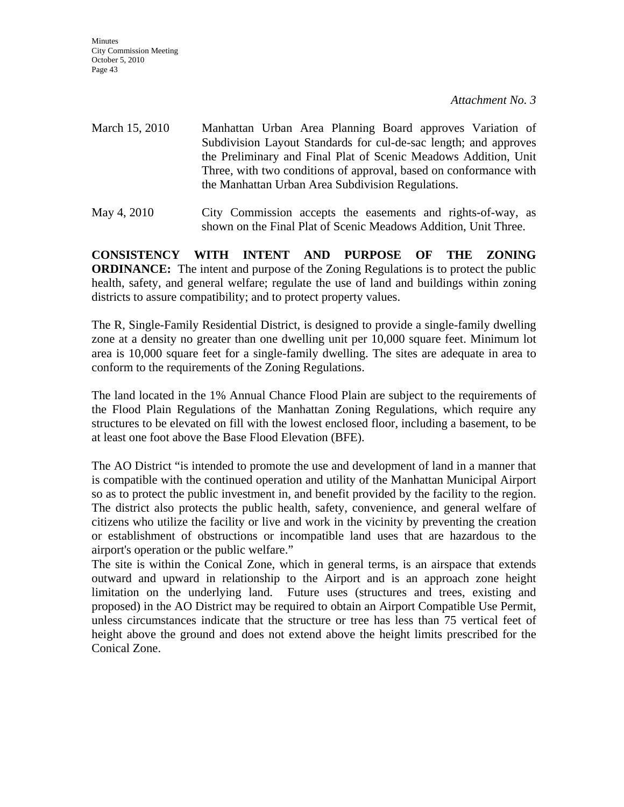**Minutes** City Commission Meeting October 5, 2010 Page 43

*Attachment No. 3* 

- March 15, 2010 Manhattan Urban Area Planning Board approves Variation of Subdivision Layout Standards for cul-de-sac length; and approves the Preliminary and Final Plat of Scenic Meadows Addition, Unit Three, with two conditions of approval, based on conformance with the Manhattan Urban Area Subdivision Regulations.
- May 4, 2010 City Commission accepts the easements and rights-of-way, as shown on the Final Plat of Scenic Meadows Addition, Unit Three.

**CONSISTENCY WITH INTENT AND PURPOSE OF THE ZONING ORDINANCE:** The intent and purpose of the Zoning Regulations is to protect the public health, safety, and general welfare; regulate the use of land and buildings within zoning districts to assure compatibility; and to protect property values.

The R, Single-Family Residential District, is designed to provide a single-family dwelling zone at a density no greater than one dwelling unit per 10,000 square feet. Minimum lot area is 10,000 square feet for a single-family dwelling. The sites are adequate in area to conform to the requirements of the Zoning Regulations.

The land located in the 1% Annual Chance Flood Plain are subject to the requirements of the Flood Plain Regulations of the Manhattan Zoning Regulations, which require any structures to be elevated on fill with the lowest enclosed floor, including a basement, to be at least one foot above the Base Flood Elevation (BFE).

The AO District "is intended to promote the use and development of land in a manner that is compatible with the continued operation and utility of the Manhattan Municipal Airport so as to protect the public investment in, and benefit provided by the facility to the region. The district also protects the public health, safety, convenience, and general welfare of citizens who utilize the facility or live and work in the vicinity by preventing the creation or establishment of obstructions or incompatible land uses that are hazardous to the airport's operation or the public welfare."

The site is within the Conical Zone, which in general terms, is an airspace that extends outward and upward in relationship to the Airport and is an approach zone height limitation on the underlying land. Future uses (structures and trees, existing and proposed) in the AO District may be required to obtain an Airport Compatible Use Permit, unless circumstances indicate that the structure or tree has less than 75 vertical feet of height above the ground and does not extend above the height limits prescribed for the Conical Zone.